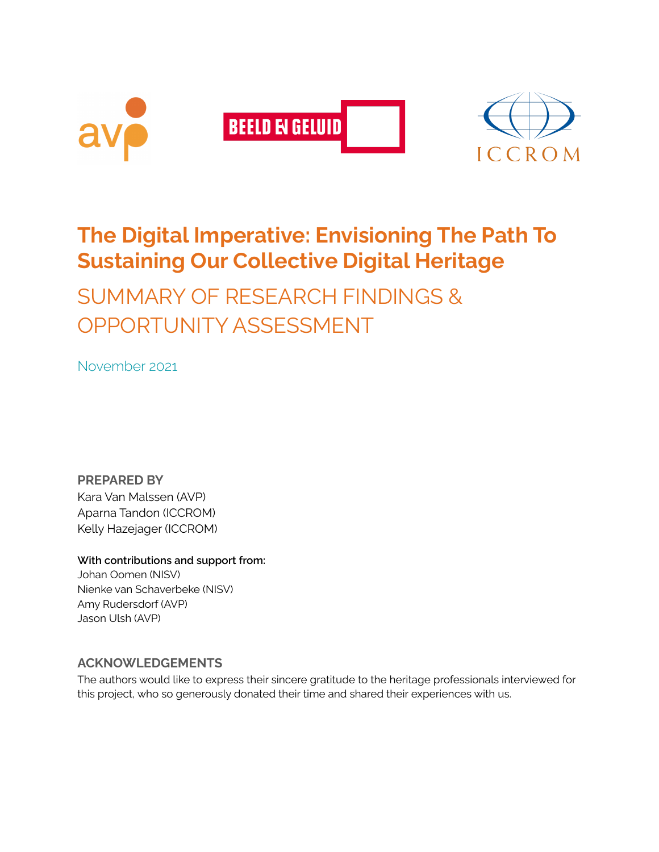

# **The Digital Imperative: Envisioning The Path To Sustaining Our Collective Digital Heritage**

SUMMARY OF RESEARCH FINDINGS & OPPORTUNITY ASSESSMENT

November 2021

**PREPARED BY** Kara Van Malssen (AVP) Aparna Tandon (ICCROM) Kelly Hazejager (ICCROM)

#### **With contributions and support from:**

Johan Oomen (NISV) Nienke van Schaverbeke (NISV) Amy Rudersdorf (AVP) Jason Ulsh (AVP)

#### **ACKNOWLEDGEMENTS**

The authors would like to express their sincere gratitude to the heritage professionals interviewed for this project, who so generously donated their time and shared their experiences with us.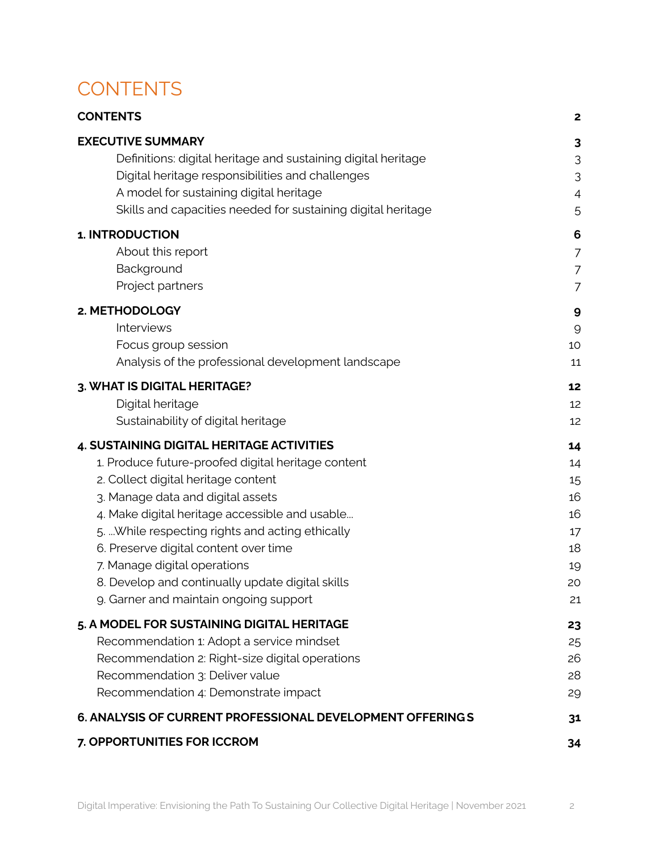## <span id="page-1-0"></span>**CONTENTS**

| <b>CONTENTS</b>                                               | $\mathbf{2}$   |
|---------------------------------------------------------------|----------------|
| <b>EXECUTIVE SUMMARY</b>                                      | 3              |
| Definitions: digital heritage and sustaining digital heritage | 3              |
| Digital heritage responsibilities and challenges              | 3              |
| A model for sustaining digital heritage                       | 4              |
| Skills and capacities needed for sustaining digital heritage  | 5              |
| 1. INTRODUCTION                                               | 6              |
| About this report                                             | 7              |
| Background                                                    | 7              |
| Project partners                                              | $\overline{7}$ |
| 2. METHODOLOGY                                                | 9              |
| Interviews                                                    | 9              |
| Focus group session                                           | 10             |
| Analysis of the professional development landscape            | 11             |
| 3. WHAT IS DIGITAL HERITAGE?                                  | 12             |
| Digital heritage                                              | 12             |
| Sustainability of digital heritage                            | 12             |
| 4. SUSTAINING DIGITAL HERITAGE ACTIVITIES                     | 14             |
| 1. Produce future-proofed digital heritage content            | 14             |
| 2. Collect digital heritage content                           | 15             |
| 3. Manage data and digital assets                             | 16             |
| 4. Make digital heritage accessible and usable                | 16             |
| 5.  While respecting rights and acting ethically              | 17             |
| 6. Preserve digital content over time                         | 18             |
| 7. Manage digital operations                                  | 19             |
| 8. Develop and continually update digital skills              | 20             |
| 9. Garner and maintain ongoing support                        | 21             |
| 5. A MODEL FOR SUSTAINING DIGITAL HERITAGE                    | 23             |
| Recommendation 1: Adopt a service mindset                     | 25             |
| Recommendation 2: Right-size digital operations               | 26             |
| Recommendation 3: Deliver value                               | 28             |
| Recommendation 4: Demonstrate impact                          | 29             |
| 6. ANALYSIS OF CURRENT PROFESSIONAL DEVELOPMENT OFFERINGS     | 31             |
| 7. OPPORTUNITIES FOR ICCROM                                   | 34             |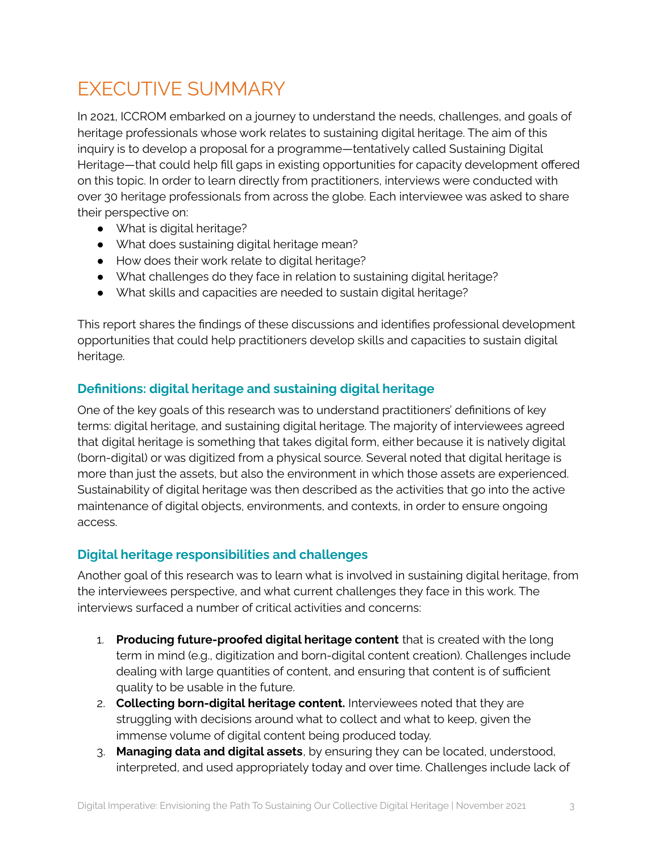## <span id="page-2-0"></span>EXECUTIVE SUMMARY

In 2021, ICCROM embarked on a journey to understand the needs, challenges, and goals of heritage professionals whose work relates to sustaining digital heritage. The aim of this inquiry is to develop a proposal for a programme—tentatively called Sustaining Digital Heritage—that could help fill gaps in existing opportunities for capacity development offered on this topic. In order to learn directly from practitioners, interviews were conducted with over 30 heritage professionals from across the globe. Each interviewee was asked to share their perspective on:

- What is digital heritage?
- What does sustaining digital heritage mean?
- How does their work relate to digital heritage?
- What challenges do they face in relation to sustaining digital heritage?
- What skills and capacities are needed to sustain digital heritage?

This report shares the findings of these discussions and identifies professional development opportunities that could help practitioners develop skills and capacities to sustain digital heritage.

#### <span id="page-2-1"></span>**Definitions: digital heritage and sustaining digital heritage**

One of the key goals of this research was to understand practitioners' definitions of key terms: digital heritage, and sustaining digital heritage. The majority of interviewees agreed that digital heritage is something that takes digital form, either because it is natively digital (born-digital) or was digitized from a physical source. Several noted that digital heritage is more than just the assets, but also the environment in which those assets are experienced. Sustainability of digital heritage was then described as the activities that go into the active maintenance of digital objects, environments, and contexts, in order to ensure ongoing access.

#### <span id="page-2-2"></span>**Digital heritage responsibilities and challenges**

Another goal of this research was to learn what is involved in sustaining digital heritage, from the interviewees perspective, and what current challenges they face in this work. The interviews surfaced a number of critical activities and concerns:

- 1. **Producing future-proofed digital heritage content** that is created with the long term in mind (e.g., digitization and born-digital content creation). Challenges include dealing with large quantities of content, and ensuring that content is of sufficient quality to be usable in the future.
- 2. **Collecting born-digital heritage content.** Interviewees noted that they are struggling with decisions around what to collect and what to keep, given the immense volume of digital content being produced today.
- 3. **Managing data and digital assets**, by ensuring they can be located, understood, interpreted, and used appropriately today and over time. Challenges include lack of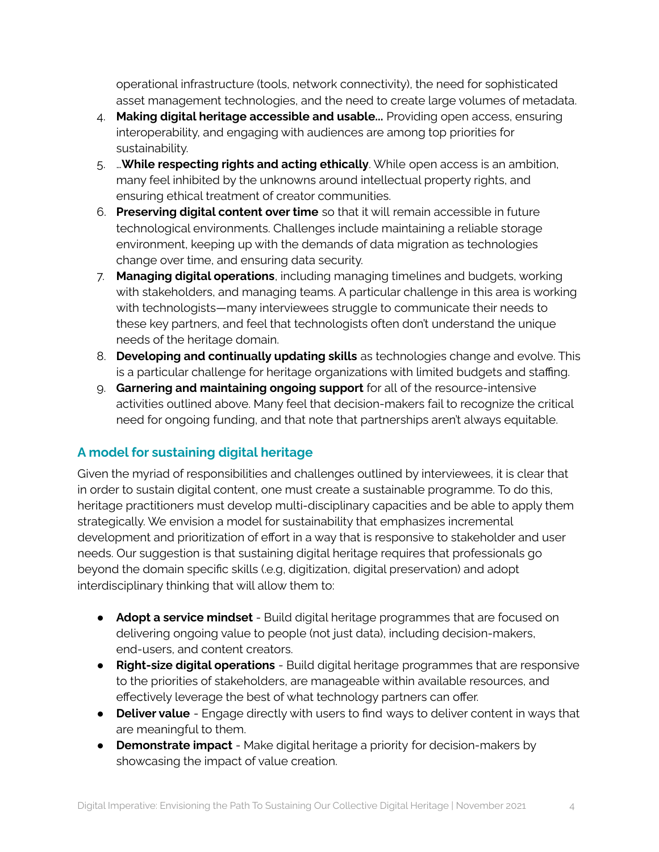operational infrastructure (tools, network connectivity), the need for sophisticated asset management technologies, and the need to create large volumes of metadata.

- 4. **Making digital heritage accessible and usable...** Providing open access, ensuring interoperability, and engaging with audiences are among top priorities for sustainability.
- 5. …**While respecting rights and acting ethically**. While open access is an ambition, many feel inhibited by the unknowns around intellectual property rights, and ensuring ethical treatment of creator communities.
- 6. **Preserving digital content over time** so that it will remain accessible in future technological environments. Challenges include maintaining a reliable storage environment, keeping up with the demands of data migration as technologies change over time, and ensuring data security.
- 7. **Managing digital operations**, including managing timelines and budgets, working with stakeholders, and managing teams. A particular challenge in this area is working with technologists—many interviewees struggle to communicate their needs to these key partners, and feel that technologists often don't understand the unique needs of the heritage domain.
- 8. **Developing and continually updating skills** as technologies change and evolve. This is a particular challenge for heritage organizations with limited budgets and staffing.
- 9. **Garnering and maintaining ongoing support** for all of the resource-intensive activities outlined above. Many feel that decision-makers fail to recognize the critical need for ongoing funding, and that note that partnerships aren't always equitable.

#### <span id="page-3-0"></span>**A model for sustaining digital heritage**

Given the myriad of responsibilities and challenges outlined by interviewees, it is clear that in order to sustain digital content, one must create a sustainable programme. To do this, heritage practitioners must develop multi-disciplinary capacities and be able to apply them strategically. We envision a model for sustainability that emphasizes incremental development and prioritization of effort in a way that is responsive to stakeholder and user needs. Our suggestion is that sustaining digital heritage requires that professionals go beyond the domain specific skills (.e.g, digitization, digital preservation) and adopt interdisciplinary thinking that will allow them to:

- **Adopt a service mindset** Build digital heritage programmes that are focused on delivering ongoing value to people (not just data), including decision-makers, end-users, and content creators.
- **Right-size digital operations** Build digital heritage programmes that are responsive to the priorities of stakeholders, are manageable within available resources, and effectively leverage the best of what technology partners can offer.
- **Deliver value** Engage directly with users to find ways to deliver content in ways that are meaningful to them.
- **Demonstrate impact** Make digital heritage a priority for decision-makers by showcasing the impact of value creation.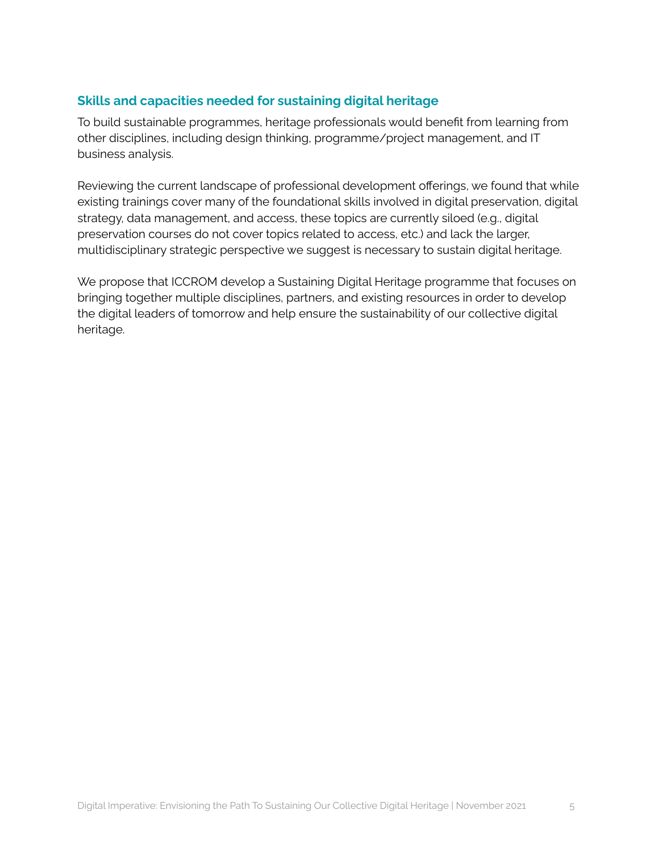#### <span id="page-4-0"></span>**Skills and capacities needed for sustaining digital heritage**

To build sustainable programmes, heritage professionals would benefit from learning from other disciplines, including design thinking, programme/project management, and IT business analysis.

Reviewing the current landscape of professional development offerings, we found that while existing trainings cover many of the foundational skills involved in digital preservation, digital strategy, data management, and access, these topics are currently siloed (e.g., digital preservation courses do not cover topics related to access, etc.) and lack the larger, multidisciplinary strategic perspective we suggest is necessary to sustain digital heritage.

We propose that ICCROM develop a Sustaining Digital Heritage programme that focuses on bringing together multiple disciplines, partners, and existing resources in order to develop the digital leaders of tomorrow and help ensure the sustainability of our collective digital heritage.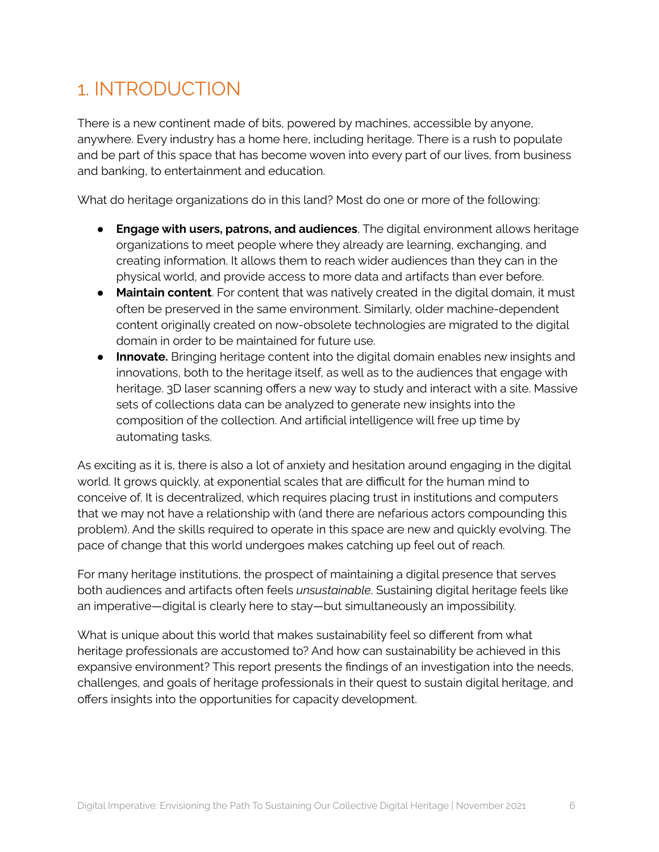## <span id="page-5-0"></span>1. INTRODUCTION

There is a new continent made of bits, powered by machines, accessible by anyone, anywhere. Every industry has a home here, including heritage. There is a rush to populate and be part of this space that has become woven into every part of our lives, from business and banking, to entertainment and education.

What do heritage organizations do in this land? Most do one or more of the following:

- **Engage with users, patrons, and audiences**. The digital environment allows heritage organizations to meet people where they already are learning, exchanging, and creating information. It allows them to reach wider audiences than they can in the physical world, and provide access to more data and artifacts than ever before.
- **Maintain content**. For content that was natively created in the digital domain, it must often be preserved in the same environment. Similarly, older machine-dependent content originally created on now-obsolete technologies are migrated to the digital domain in order to be maintained for future use.
- **Innovate.** Bringing heritage content into the digital domain enables new insights and innovations, both to the heritage itself, as well as to the audiences that engage with heritage. 3D laser scanning offers a new way to study and interact with a site. Massive sets of collections data can be analyzed to generate new insights into the composition of the collection. And artificial intelligence will free up time by automating tasks.

As exciting as it is, there is also a lot of anxiety and hesitation around engaging in the digital world. It grows quickly, at exponential scales that are difficult for the human mind to conceive of. It is decentralized, which requires placing trust in institutions and computers that we may not have a relationship with (and there are nefarious actors compounding this problem). And the skills required to operate in this space are new and quickly evolving. The pace of change that this world undergoes makes catching up feel out of reach.

For many heritage institutions, the prospect of maintaining a digital presence that serves both audiences and artifacts often feels *unsustainable*. Sustaining digital heritage feels like an imperative—digital is clearly here to stay—but simultaneously an impossibility.

What is unique about this world that makes sustainability feel so different from what heritage professionals are accustomed to? And how can sustainability be achieved in this expansive environment? This report presents the findings of an investigation into the needs, challenges, and goals of heritage professionals in their quest to sustain digital heritage, and offers insights into the opportunities for capacity development.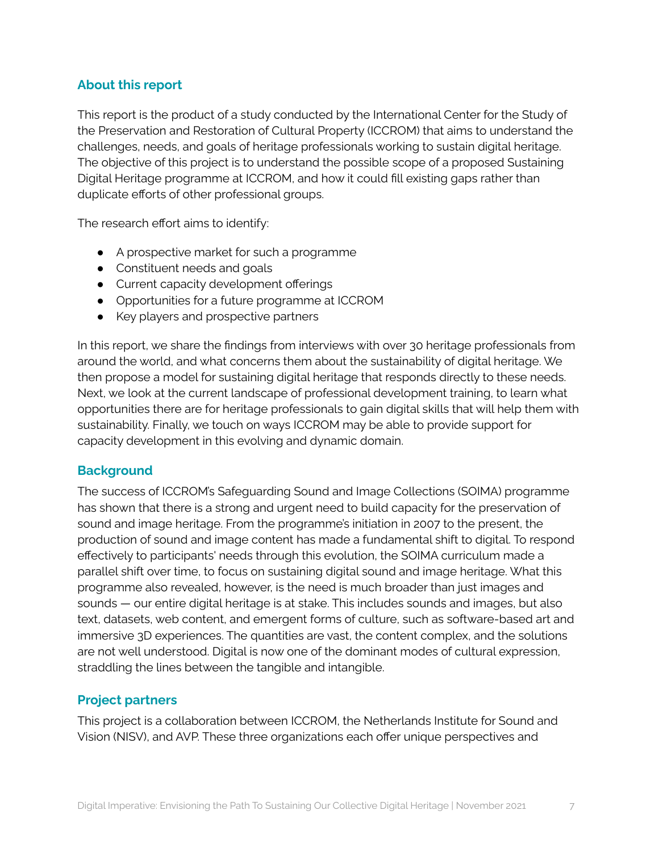#### <span id="page-6-0"></span>**About this report**

This report is the product of a study conducted by the International Center for the Study of the Preservation and Restoration of Cultural Property (ICCROM) that aims to understand the challenges, needs, and goals of heritage professionals working to sustain digital heritage. The objective of this project is to understand the possible scope of a proposed Sustaining Digital Heritage programme at ICCROM, and how it could fill existing gaps rather than duplicate efforts of other professional groups.

The research effort aims to identify:

- A prospective market for such a programme
- Constituent needs and goals
- Current capacity development offerings
- Opportunities for a future programme at ICCROM
- Key players and prospective partners

In this report, we share the findings from interviews with over 30 heritage professionals from around the world, and what concerns them about the sustainability of digital heritage. We then propose a model for sustaining digital heritage that responds directly to these needs. Next, we look at the current landscape of professional development training, to learn what opportunities there are for heritage professionals to gain digital skills that will help them with sustainability. Finally, we touch on ways ICCROM may be able to provide support for capacity development in this evolving and dynamic domain.

#### <span id="page-6-1"></span>**Background**

The success of ICCROM's Safeguarding Sound and Image Collections (SOIMA) programme has shown that there is a strong and urgent need to build capacity for the preservation of sound and image heritage. From the programme's initiation in 2007 to the present, the production of sound and image content has made a fundamental shift to digital. To respond effectively to participants' needs through this evolution, the SOIMA curriculum made a parallel shift over time, to focus on sustaining digital sound and image heritage. What this programme also revealed, however, is the need is much broader than just images and sounds — our entire digital heritage is at stake. This includes sounds and images, but also text, datasets, web content, and emergent forms of culture, such as software-based art and immersive 3D experiences. The quantities are vast, the content complex, and the solutions are not well understood. Digital is now one of the dominant modes of cultural expression, straddling the lines between the tangible and intangible.

#### <span id="page-6-2"></span>**Project partners**

This project is a collaboration between ICCROM, the Netherlands Institute for Sound and Vision (NISV), and AVP. These three organizations each offer unique perspectives and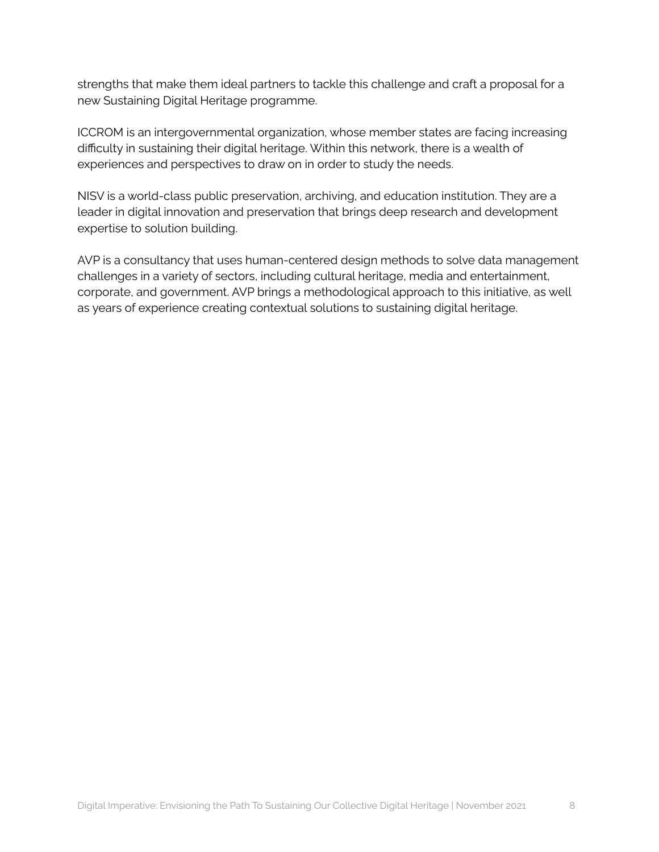strengths that make them ideal partners to tackle this challenge and craft a proposal for a new Sustaining Digital Heritage programme.

ICCROM is an intergovernmental organization, whose member states are facing increasing difficulty in sustaining their digital heritage. Within this network, there is a wealth of experiences and perspectives to draw on in order to study the needs.

NISV is a world-class public preservation, archiving, and education institution. They are a leader in digital innovation and preservation that brings deep research and development expertise to solution building.

AVP is a consultancy that uses human-centered design methods to solve data management challenges in a variety of sectors, including cultural heritage, media and entertainment, corporate, and government. AVP brings a methodological approach to this initiative, as well as years of experience creating contextual solutions to sustaining digital heritage.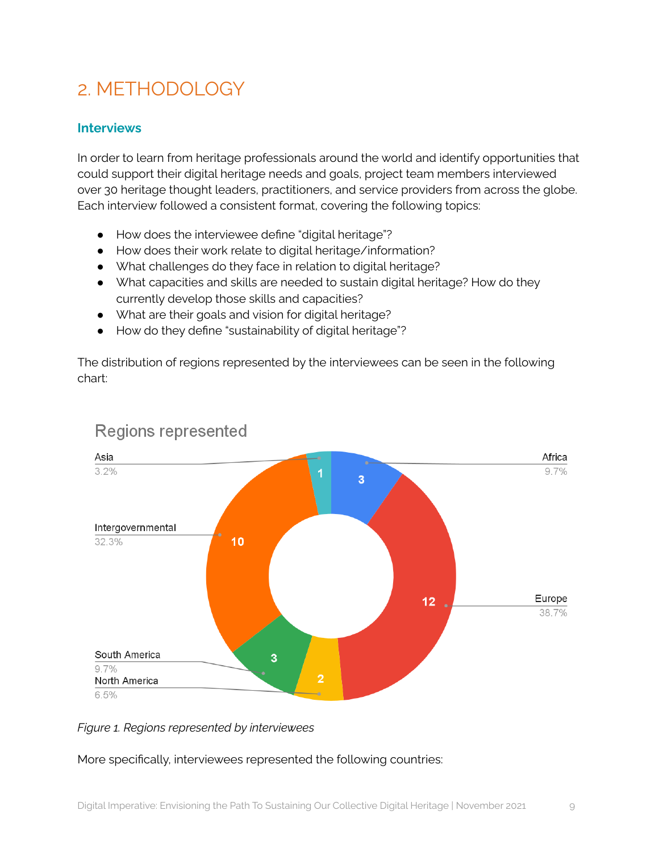# <span id="page-8-0"></span>2. METHODOLOGY

#### <span id="page-8-1"></span>**Interviews**

In order to learn from heritage professionals around the world and identify opportunities that could support their digital heritage needs and goals, project team members interviewed over 30 heritage thought leaders, practitioners, and service providers from across the globe. Each interview followed a consistent format, covering the following topics:

- How does the interviewee define "digital heritage"?
- How does their work relate to digital heritage/information?
- What challenges do they face in relation to digital heritage?
- What capacities and skills are needed to sustain digital heritage? How do they currently develop those skills and capacities?
- What are their goals and vision for digital heritage?
- How do they define "sustainability of digital heritage"?

The distribution of regions represented by the interviewees can be seen in the following chart:



## **Regions represented**

#### *Figure 1. Regions represented by interviewees*

#### More specifically, interviewees represented the following countries: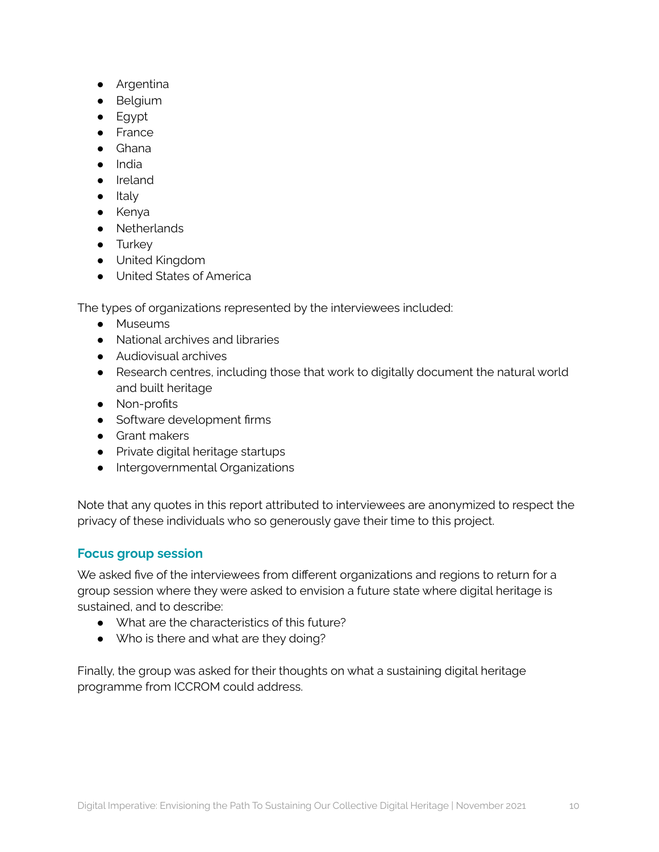- Argentina
- Belgium
- Egypt
- France
- Ghana
- India
- Ireland
- Italy
- Kenya
- Netherlands
- **•** Turkey
- United Kingdom
- United States of America

The types of organizations represented by the interviewees included:

- Museums
- National archives and libraries
- Audiovisual archives
- Research centres, including those that work to digitally document the natural world and built heritage
- Non-profits
- Software development firms
- Grant makers
- Private digital heritage startups
- Intergovernmental Organizations

Note that any quotes in this report attributed to interviewees are anonymized to respect the privacy of these individuals who so generously gave their time to this project.

#### <span id="page-9-0"></span>**Focus group session**

We asked five of the interviewees from different organizations and regions to return for a group session where they were asked to envision a future state where digital heritage is sustained, and to describe:

- What are the characteristics of this future?
- Who is there and what are they doing?

Finally, the group was asked for their thoughts on what a sustaining digital heritage programme from ICCROM could address.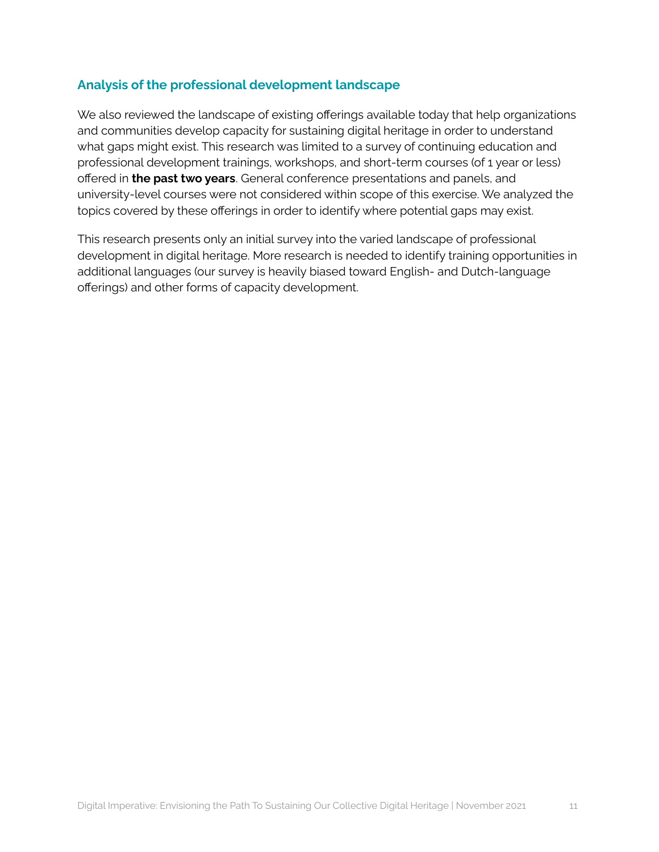#### <span id="page-10-0"></span>**Analysis of the professional development landscape**

We also reviewed the landscape of existing offerings available today that help organizations and communities develop capacity for sustaining digital heritage in order to understand what gaps might exist. This research was limited to a survey of continuing education and professional development trainings, workshops, and short-term courses (of 1 year or less) offered in **the past two years**. General conference presentations and panels, and university-level courses were not considered within scope of this exercise. We analyzed the topics covered by these offerings in order to identify where potential gaps may exist.

This research presents only an initial survey into the varied landscape of professional development in digital heritage. More research is needed to identify training opportunities in additional languages (our survey is heavily biased toward English- and Dutch-language offerings) and other forms of capacity development.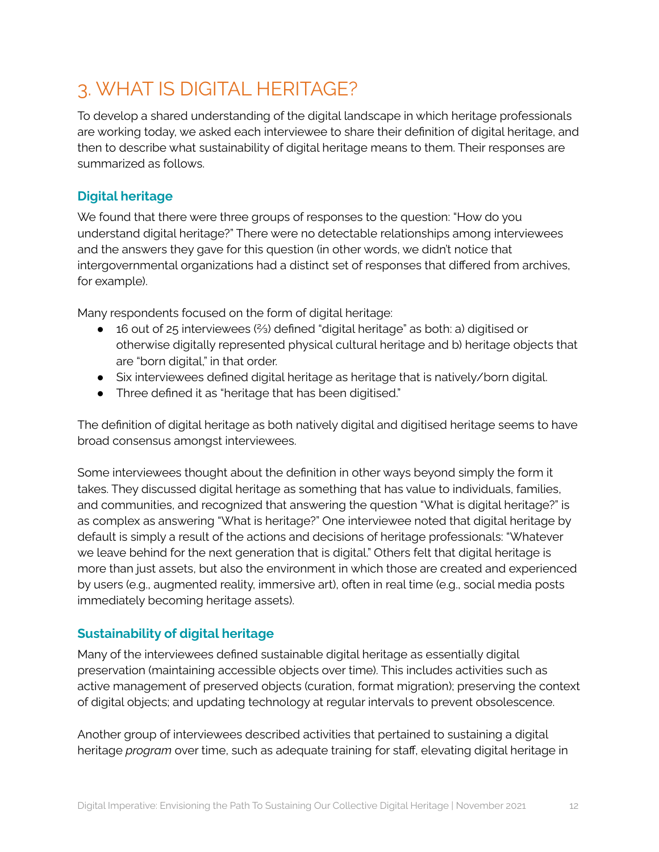# <span id="page-11-0"></span>3. WHAT IS DIGITAL HERITAGE?

To develop a shared understanding of the digital landscape in which heritage professionals are working today, we asked each interviewee to share their definition of digital heritage, and then to describe what sustainability of digital heritage means to them. Their responses are summarized as follows.

#### <span id="page-11-1"></span>**Digital heritage**

We found that there were three groups of responses to the question: "How do you understand digital heritage?" There were no detectable relationships among interviewees and the answers they gave for this question (in other words, we didn't notice that intergovernmental organizations had a distinct set of responses that differed from archives, for example).

Many respondents focused on the form of digital heritage:

- 16 out of 25 interviewees (⅔) defined "digital heritage" as both: a) digitised or otherwise digitally represented physical cultural heritage and b) heritage objects that are "born digital," in that order.
- Six interviewees defined digital heritage as heritage that is natively/born digital.
- Three defined it as "heritage that has been digitised."

The definition of digital heritage as both natively digital and digitised heritage seems to have broad consensus amongst interviewees.

Some interviewees thought about the definition in other ways beyond simply the form it takes. They discussed digital heritage as something that has value to individuals, families, and communities, and recognized that answering the question "What is digital heritage?" is as complex as answering "What is heritage?" One interviewee noted that digital heritage by default is simply a result of the actions and decisions of heritage professionals: "Whatever we leave behind for the next generation that is digital." Others felt that digital heritage is more than just assets, but also the environment in which those are created and experienced by users (e.g., augmented reality, immersive art), often in real time (e.g., social media posts immediately becoming heritage assets).

#### <span id="page-11-2"></span>**Sustainability of digital heritage**

Many of the interviewees defined sustainable digital heritage as essentially digital preservation (maintaining accessible objects over time). This includes activities such as active management of preserved objects (curation, format migration); preserving the context of digital objects; and updating technology at regular intervals to prevent obsolescence.

Another group of interviewees described activities that pertained to sustaining a digital heritage *program* over time, such as adequate training for staff, elevating digital heritage in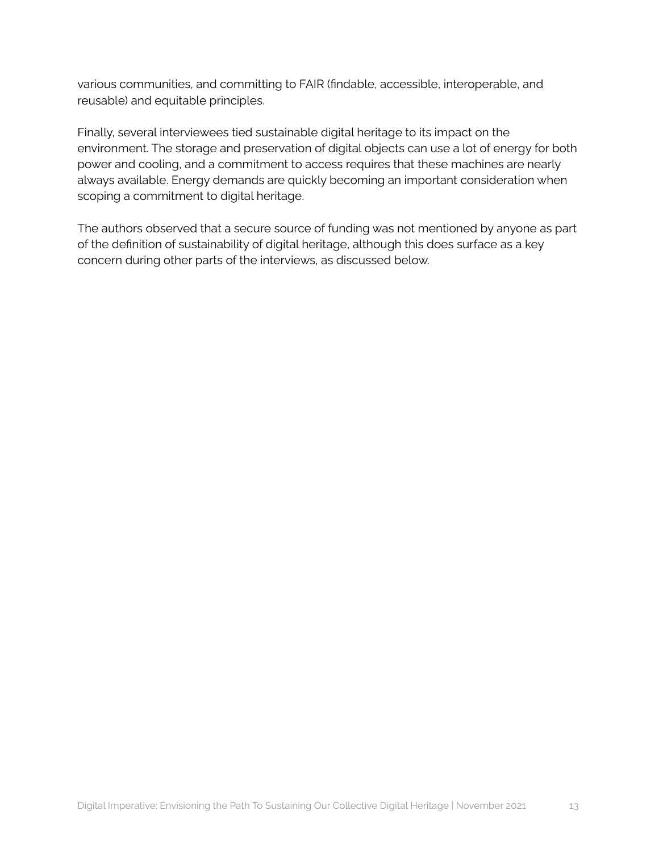various communities, and committing to FAIR (findable, accessible, interoperable, and reusable) and equitable principles.

Finally, several interviewees tied sustainable digital heritage to its impact on the environment. The storage and preservation of digital objects can use a lot of energy for both power and cooling, and a commitment to access requires that these machines are nearly always available. Energy demands are quickly becoming an important consideration when scoping a commitment to digital heritage.

The authors observed that a secure source of funding was not mentioned by anyone as part of the definition of sustainability of digital heritage, although this does surface as a key concern during other parts of the interviews, as discussed below.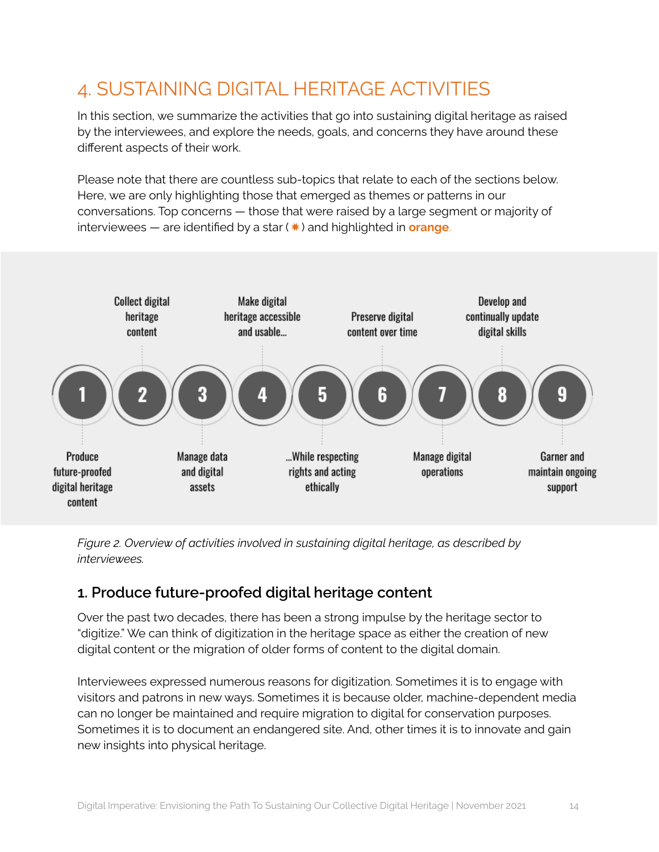## <span id="page-13-0"></span>4. SUSTAINING DIGITAL HERITAGE ACTIVITIES

In this section, we summarize the activities that go into sustaining digital heritage as raised by the interviewees, and explore the needs, goals, and concerns they have around these different aspects of their work.

Please note that there are countless sub-topics that relate to each of the sections below. Here, we are only highlighting those that emerged as themes or patterns in our conversations. Top concerns — those that were raised by a large segment or majority of interviewees — are identified by a star (✸) and highlighted in **orange**.



*Figure 2. Overview of activities involved in sustaining digital heritage, as described by interviewees.*

## <span id="page-13-1"></span>**1. Produce future-proofed digital heritage content**

Over the past two decades, there has been a strong impulse by the heritage sector to "digitize." We can think of digitization in the heritage space as either the creation of new digital content or the migration of older forms of content to the digital domain.

Interviewees expressed numerous reasons for digitization. Sometimes it is to engage with visitors and patrons in new ways. Sometimes it is because older, machine-dependent media can no longer be maintained and require migration to digital for conservation purposes. Sometimes it is to document an endangered site. And, other times it is to innovate and gain new insights into physical heritage.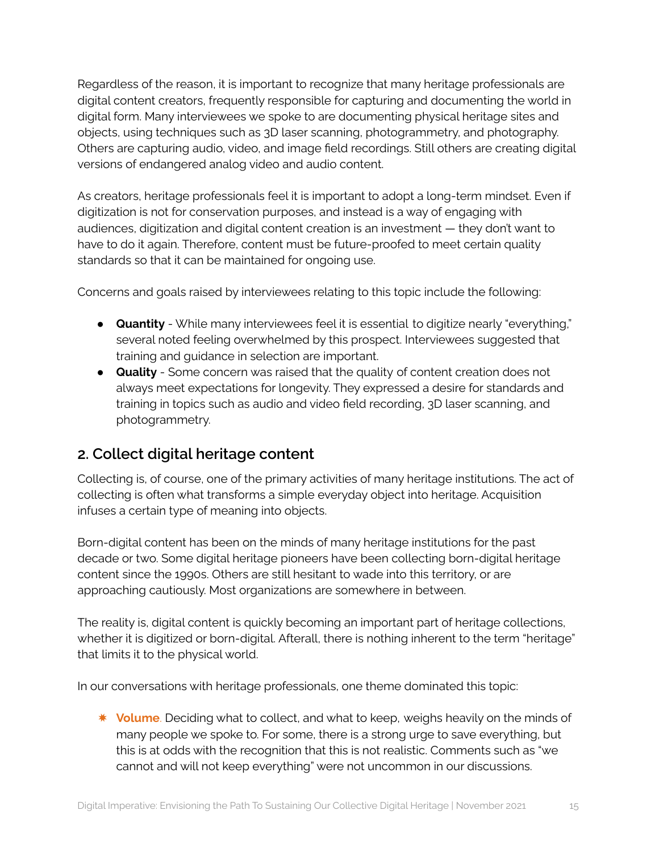Regardless of the reason, it is important to recognize that many heritage professionals are digital content creators, frequently responsible for capturing and documenting the world in digital form. Many interviewees we spoke to are documenting physical heritage sites and objects, using techniques such as 3D laser scanning, photogrammetry, and photography. Others are capturing audio, video, and image field recordings. Still others are creating digital versions of endangered analog video and audio content.

As creators, heritage professionals feel it is important to adopt a long-term mindset. Even if digitization is not for conservation purposes, and instead is a way of engaging with audiences, digitization and digital content creation is an investment — they don't want to have to do it again. Therefore, content must be future-proofed to meet certain quality standards so that it can be maintained for ongoing use.

Concerns and goals raised by interviewees relating to this topic include the following:

- **Quantity** While many interviewees feel it is essential to digitize nearly "everything," several noted feeling overwhelmed by this prospect. Interviewees suggested that training and guidance in selection are important.
- **Quality** Some concern was raised that the quality of content creation does not always meet expectations for longevity. They expressed a desire for standards and training in topics such as audio and video field recording, 3D laser scanning, and photogrammetry.

## <span id="page-14-0"></span>**2. Collect digital heritage content**

Collecting is, of course, one of the primary activities of many heritage institutions. The act of collecting is often what transforms a simple everyday object into heritage. Acquisition infuses a certain type of meaning into objects.

Born-digital content has been on the minds of many heritage institutions for the past decade or two. Some digital heritage pioneers have been collecting born-digital heritage content since the 1990s. Others are still hesitant to wade into this territory, or are approaching cautiously. Most organizations are somewhere in between.

The reality is, digital content is quickly becoming an important part of heritage collections, whether it is digitized or born-digital. Afterall, there is nothing inherent to the term "heritage" that limits it to the physical world.

In our conversations with heritage professionals, one theme dominated this topic:

✸ **Volume**. Deciding what to collect, and what to keep, weighs heavily on the minds of many people we spoke to. For some, there is a strong urge to save everything, but this is at odds with the recognition that this is not realistic. Comments such as "we cannot and will not keep everything" were not uncommon in our discussions.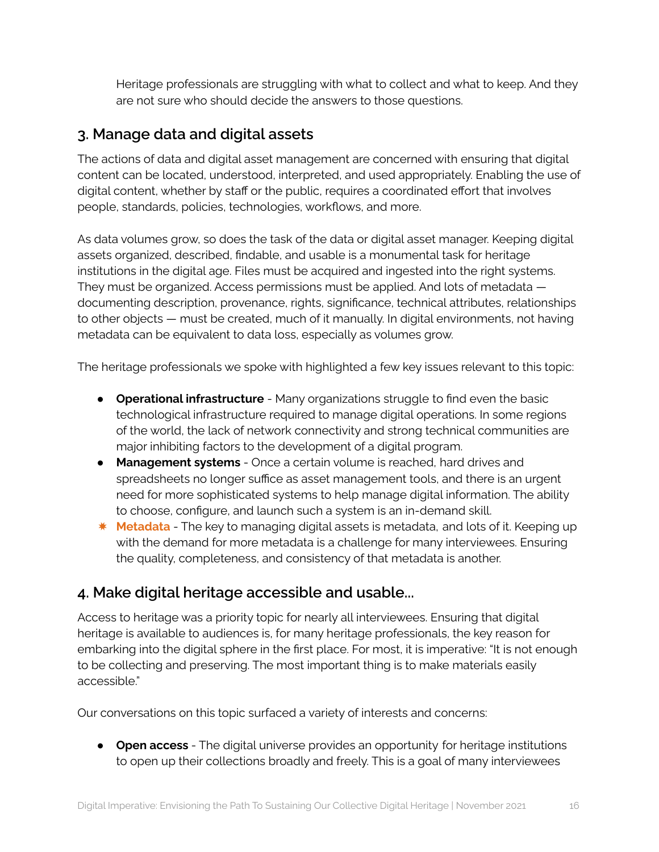Heritage professionals are struggling with what to collect and what to keep. And they are not sure who should decide the answers to those questions.

### <span id="page-15-0"></span>**3. Manage data and digital assets**

The actions of data and digital asset management are concerned with ensuring that digital content can be located, understood, interpreted, and used appropriately. Enabling the use of digital content, whether by staff or the public, requires a coordinated effort that involves people, standards, policies, technologies, workflows, and more.

As data volumes grow, so does the task of the data or digital asset manager. Keeping digital assets organized, described, findable, and usable is a monumental task for heritage institutions in the digital age. Files must be acquired and ingested into the right systems. They must be organized. Access permissions must be applied. And lots of metadata documenting description, provenance, rights, significance, technical attributes, relationships to other objects — must be created, much of it manually. In digital environments, not having metadata can be equivalent to data loss, especially as volumes grow.

The heritage professionals we spoke with highlighted a few key issues relevant to this topic:

- **Operational infrastructure** Many organizations struggle to find even the basic technological infrastructure required to manage digital operations. In some regions of the world, the lack of network connectivity and strong technical communities are major inhibiting factors to the development of a digital program.
- **Management systems** Once a certain volume is reached, hard drives and spreadsheets no longer suffice as asset management tools, and there is an urgent need for more sophisticated systems to help manage digital information. The ability to choose, configure, and launch such a system is an in-demand skill.
- ✸ **Metadata** The key to managing digital assets is metadata, and lots of it. Keeping up with the demand for more metadata is a challenge for many interviewees. Ensuring the quality, completeness, and consistency of that metadata is another.

## <span id="page-15-1"></span>**4. Make digital heritage accessible and usable...**

Access to heritage was a priority topic for nearly all interviewees. Ensuring that digital heritage is available to audiences is, for many heritage professionals, the key reason for embarking into the digital sphere in the first place. For most, it is imperative: "It is not enough to be collecting and preserving. The most important thing is to make materials easily accessible."

Our conversations on this topic surfaced a variety of interests and concerns:

● **Open access** - The digital universe provides an opportunity for heritage institutions to open up their collections broadly and freely. This is a goal of many interviewees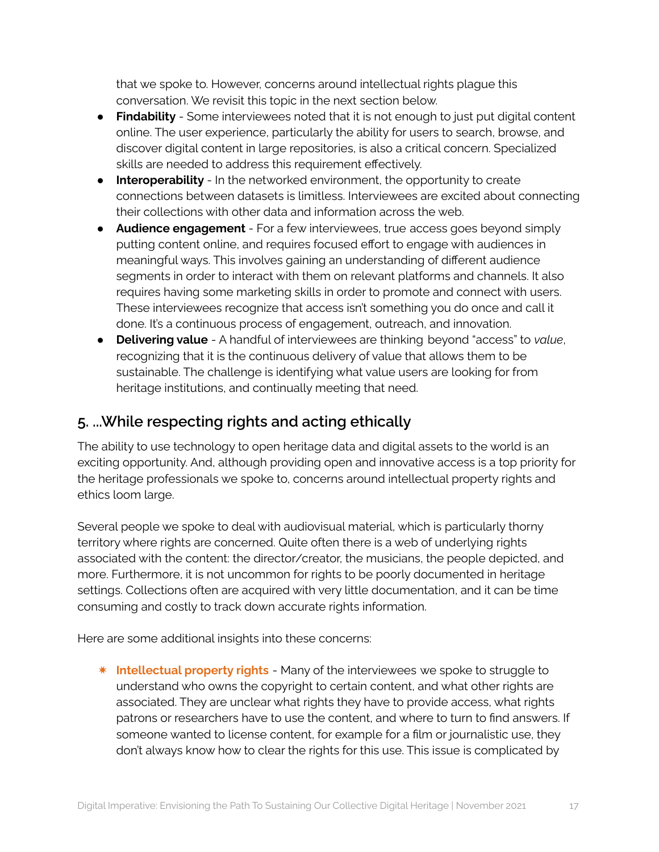that we spoke to. However, concerns around intellectual rights plague this conversation. We revisit this topic in the next section below.

- **Findability** Some interviewees noted that it is not enough to just put digital content online. The user experience, particularly the ability for users to search, browse, and discover digital content in large repositories, is also a critical concern. Specialized skills are needed to address this requirement effectively.
- **Interoperability** In the networked environment, the opportunity to create connections between datasets is limitless. Interviewees are excited about connecting their collections with other data and information across the web.
- **Audience engagement** For a few interviewees, true access goes beyond simply putting content online, and requires focused effort to engage with audiences in meaningful ways. This involves gaining an understanding of different audience segments in order to interact with them on relevant platforms and channels. It also requires having some marketing skills in order to promote and connect with users. These interviewees recognize that access isn't something you do once and call it done. It's a continuous process of engagement, outreach, and innovation.
- **Delivering value** A handful of interviewees are thinking beyond "access" to *value*, recognizing that it is the continuous delivery of value that allows them to be sustainable. The challenge is identifying what value users are looking for from heritage institutions, and continually meeting that need.

## <span id="page-16-0"></span>**5. ...While respecting rights and acting ethically**

The ability to use technology to open heritage data and digital assets to the world is an exciting opportunity. And, although providing open and innovative access is a top priority for the heritage professionals we spoke to, concerns around intellectual property rights and ethics loom large.

Several people we spoke to deal with audiovisual material, which is particularly thorny territory where rights are concerned. Quite often there is a web of underlying rights associated with the content: the director/creator, the musicians, the people depicted, and more. Furthermore, it is not uncommon for rights to be poorly documented in heritage settings. Collections often are acquired with very little documentation, and it can be time consuming and costly to track down accurate rights information.

Here are some additional insights into these concerns:

✷ **Intellectual property rights** - Many of the interviewees we spoke to struggle to understand who owns the copyright to certain content, and what other rights are associated. They are unclear what rights they have to provide access, what rights patrons or researchers have to use the content, and where to turn to find answers. If someone wanted to license content, for example for a film or journalistic use, they don't always know how to clear the rights for this use. This issue is complicated by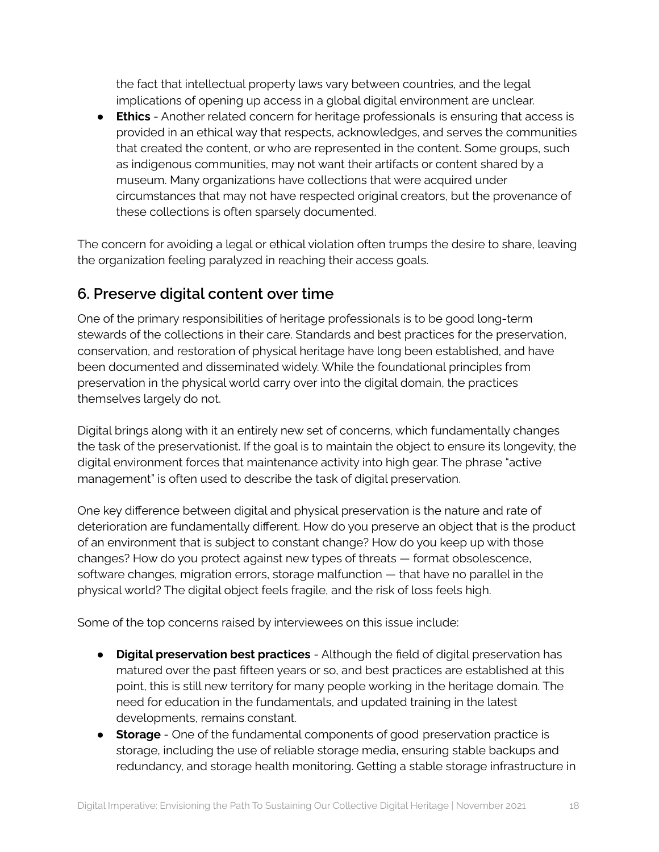the fact that intellectual property laws vary between countries, and the legal implications of opening up access in a global digital environment are unclear.

● **Ethics** - Another related concern for heritage professionals is ensuring that access is provided in an ethical way that respects, acknowledges, and serves the communities that created the content, or who are represented in the content. Some groups, such as indigenous communities, may not want their artifacts or content shared by a museum. Many organizations have collections that were acquired under circumstances that may not have respected original creators, but the provenance of these collections is often sparsely documented.

The concern for avoiding a legal or ethical violation often trumps the desire to share, leaving the organization feeling paralyzed in reaching their access goals.

## <span id="page-17-0"></span>**6. Preserve digital content over time**

One of the primary responsibilities of heritage professionals is to be good long-term stewards of the collections in their care. Standards and best practices for the preservation, conservation, and restoration of physical heritage have long been established, and have been documented and disseminated widely. While the foundational principles from preservation in the physical world carry over into the digital domain, the practices themselves largely do not.

Digital brings along with it an entirely new set of concerns, which fundamentally changes the task of the preservationist. If the goal is to maintain the object to ensure its longevity, the digital environment forces that maintenance activity into high gear. The phrase "active management" is often used to describe the task of digital preservation.

One key difference between digital and physical preservation is the nature and rate of deterioration are fundamentally different. How do you preserve an object that is the product of an environment that is subject to constant change? How do you keep up with those changes? How do you protect against new types of threats — format obsolescence, software changes, migration errors, storage malfunction — that have no parallel in the physical world? The digital object feels fragile, and the risk of loss feels high.

Some of the top concerns raised by interviewees on this issue include:

- **Digital preservation best practices** Although the field of digital preservation has matured over the past fifteen years or so, and best practices are established at this point, this is still new territory for many people working in the heritage domain. The need for education in the fundamentals, and updated training in the latest developments, remains constant.
- **Storage** One of the fundamental components of good preservation practice is storage, including the use of reliable storage media, ensuring stable backups and redundancy, and storage health monitoring. Getting a stable storage infrastructure in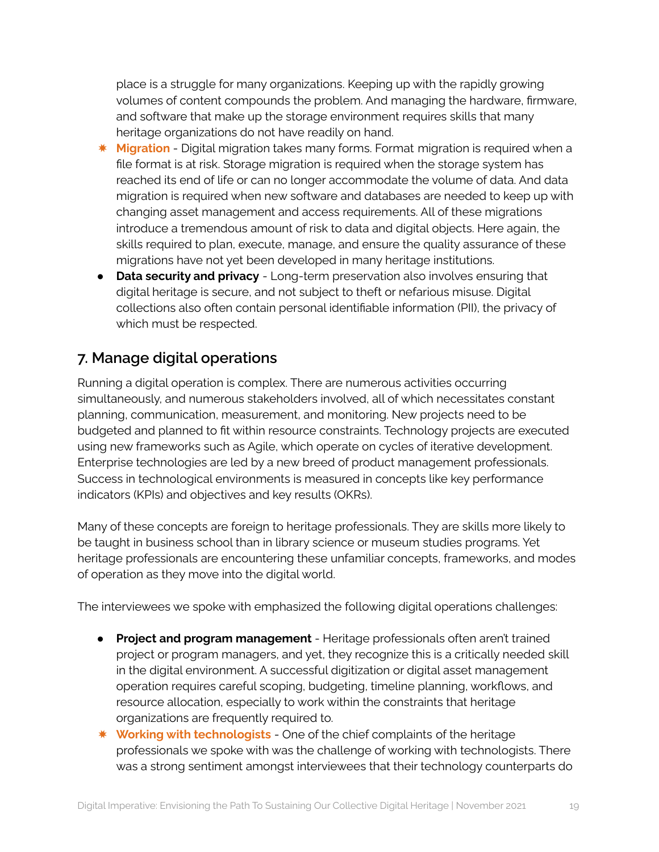place is a struggle for many organizations. Keeping up with the rapidly growing volumes of content compounds the problem. And managing the hardware, firmware, and software that make up the storage environment requires skills that many heritage organizations do not have readily on hand.

- ✸ **Migration** Digital migration takes many forms. Format migration is required when a file format is at risk. Storage migration is required when the storage system has reached its end of life or can no longer accommodate the volume of data. And data migration is required when new software and databases are needed to keep up with changing asset management and access requirements. All of these migrations introduce a tremendous amount of risk to data and digital objects. Here again, the skills required to plan, execute, manage, and ensure the quality assurance of these migrations have not yet been developed in many heritage institutions.
- **Data security and privacy** Long-term preservation also involves ensuring that digital heritage is secure, and not subject to theft or nefarious misuse. Digital collections also often contain personal identifiable information (PII), the privacy of which must be respected.

## <span id="page-18-0"></span>**7. Manage digital operations**

Running a digital operation is complex. There are numerous activities occurring simultaneously, and numerous stakeholders involved, all of which necessitates constant planning, communication, measurement, and monitoring. New projects need to be budgeted and planned to fit within resource constraints. Technology projects are executed using new frameworks such as Agile, which operate on cycles of iterative development. Enterprise technologies are led by a new breed of product management professionals. Success in technological environments is measured in concepts like key performance indicators (KPIs) and objectives and key results (OKRs).

Many of these concepts are foreign to heritage professionals. They are skills more likely to be taught in business school than in library science or museum studies programs. Yet heritage professionals are encountering these unfamiliar concepts, frameworks, and modes of operation as they move into the digital world.

The interviewees we spoke with emphasized the following digital operations challenges:

- **Project and program management** Heritage professionals often aren't trained project or program managers, and yet, they recognize this is a critically needed skill in the digital environment. A successful digitization or digital asset management operation requires careful scoping, budgeting, timeline planning, workflows, and resource allocation, especially to work within the constraints that heritage organizations are frequently required to.
- ✸ **Working with technologists** One of the chief complaints of the heritage professionals we spoke with was the challenge of working with technologists. There was a strong sentiment amongst interviewees that their technology counterparts do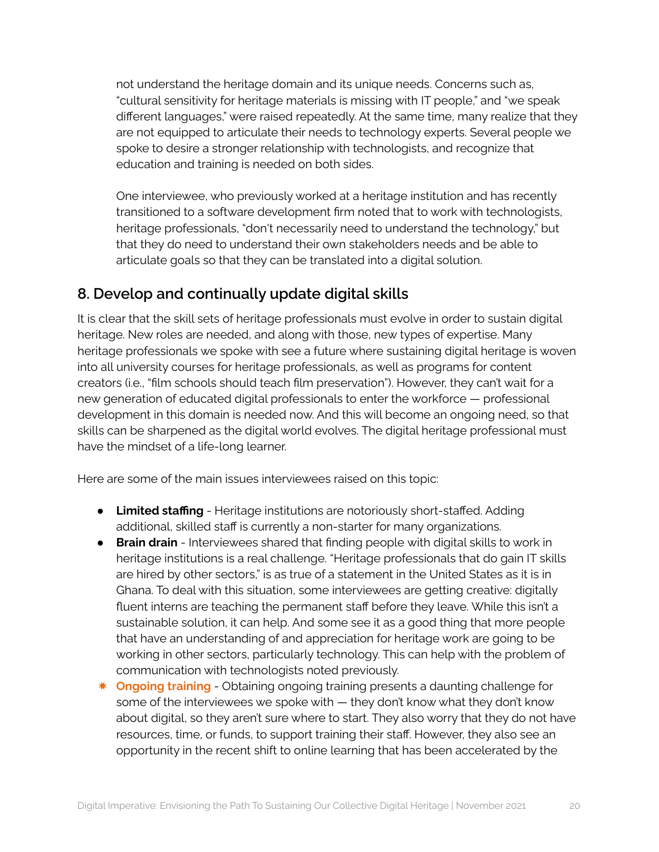not understand the heritage domain and its unique needs. Concerns such as, "cultural sensitivity for heritage materials is missing with IT people," and "we speak different languages," were raised repeatedly. At the same time, many realize that they are not equipped to articulate their needs to technology experts. Several people we spoke to desire a stronger relationship with technologists, and recognize that education and training is needed on both sides.

One interviewee, who previously worked at a heritage institution and has recently transitioned to a software development firm noted that to work with technologists, heritage professionals, "don't necessarily need to understand the technology," but that they do need to understand their own stakeholders needs and be able to articulate goals so that they can be translated into a digital solution.

### <span id="page-19-0"></span>**8. Develop and continually update digital skills**

It is clear that the skill sets of heritage professionals must evolve in order to sustain digital heritage. New roles are needed, and along with those, new types of expertise. Many heritage professionals we spoke with see a future where sustaining digital heritage is woven into all university courses for heritage professionals, as well as programs for content creators (i.e., "film schools should teach film preservation"). However, they can't wait for a new generation of educated digital professionals to enter the workforce — professional development in this domain is needed now. And this will become an ongoing need, so that skills can be sharpened as the digital world evolves. The digital heritage professional must have the mindset of a life-long learner.

Here are some of the main issues interviewees raised on this topic:

- **● Limited staffing** Heritage institutions are notoriously short-staffed. Adding additional, skilled staff is currently a non-starter for many organizations.
- **Brain drain** Interviewees shared that finding people with digital skills to work in heritage institutions is a real challenge. "Heritage professionals that do gain IT skills are hired by other sectors," is as true of a statement in the United States as it is in Ghana. To deal with this situation, some interviewees are getting creative: digitally fluent interns are teaching the permanent staff before they leave. While this isn't a sustainable solution, it can help. And some see it as a good thing that more people that have an understanding of and appreciation for heritage work are going to be working in other sectors, particularly technology. This can help with the problem of communication with technologists noted previously.
- ✸ **Ongoing training** Obtaining ongoing training presents a daunting challenge for some of the interviewees we spoke with — they don't know what they don't know about digital, so they aren't sure where to start. They also worry that they do not have resources, time, or funds, to support training their staff. However, they also see an opportunity in the recent shift to online learning that has been accelerated by the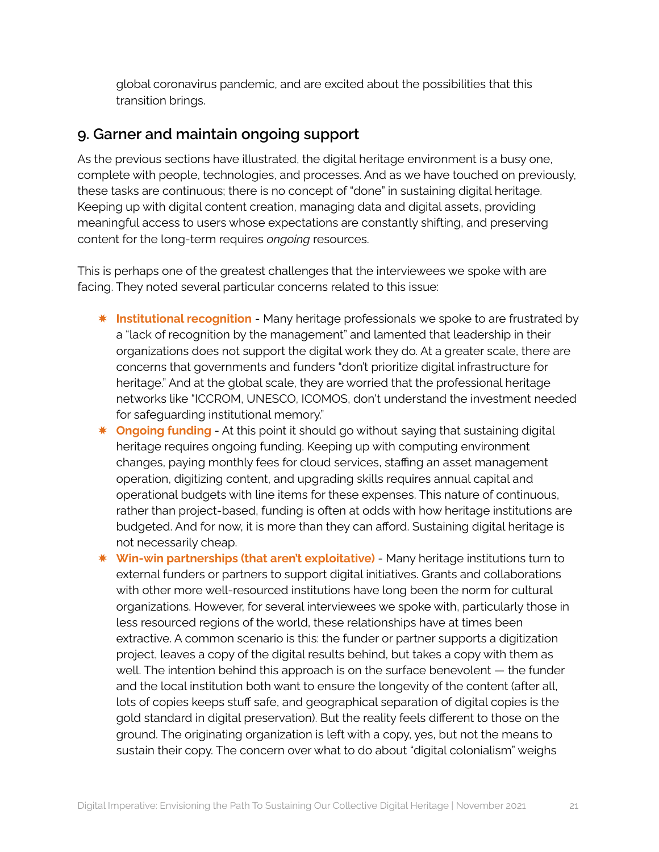global coronavirus pandemic, and are excited about the possibilities that this transition brings.

### <span id="page-20-0"></span>**9. Garner and maintain ongoing support**

As the previous sections have illustrated, the digital heritage environment is a busy one, complete with people, technologies, and processes. And as we have touched on previously, these tasks are continuous; there is no concept of "done" in sustaining digital heritage. Keeping up with digital content creation, managing data and digital assets, providing meaningful access to users whose expectations are constantly shifting, and preserving content for the long-term requires *ongoing* resources.

This is perhaps one of the greatest challenges that the interviewees we spoke with are facing. They noted several particular concerns related to this issue:

- ✸ **Institutional recognition** Many heritage professionals we spoke to are frustrated by a "lack of recognition by the management" and lamented that leadership in their organizations does not support the digital work they do. At a greater scale, there are concerns that governments and funders "don't prioritize digital infrastructure for heritage." And at the global scale, they are worried that the professional heritage networks like "ICCROM, UNESCO, ICOMOS, don't understand the investment needed for safeguarding institutional memory."
- ✸ **Ongoing funding** At this point it should go without saying that sustaining digital heritage requires ongoing funding. Keeping up with computing environment changes, paying monthly fees for cloud services, staffing an asset management operation, digitizing content, and upgrading skills requires annual capital and operational budgets with line items for these expenses. This nature of continuous, rather than project-based, funding is often at odds with how heritage institutions are budgeted. And for now, it is more than they can afford. Sustaining digital heritage is not necessarily cheap.
- ✸ **Win-win partnerships (that aren't exploitative)** Many heritage institutions turn to external funders or partners to support digital initiatives. Grants and collaborations with other more well-resourced institutions have long been the norm for cultural organizations. However, for several interviewees we spoke with, particularly those in less resourced regions of the world, these relationships have at times been extractive. A common scenario is this: the funder or partner supports a digitization project, leaves a copy of the digital results behind, but takes a copy with them as well. The intention behind this approach is on the surface benevolent — the funder and the local institution both want to ensure the longevity of the content (after all, lots of copies keeps stuff safe, and geographical separation of digital copies is the gold standard in digital preservation). But the reality feels different to those on the ground. The originating organization is left with a copy, yes, but not the means to sustain their copy. The concern over what to do about "digital colonialism" weighs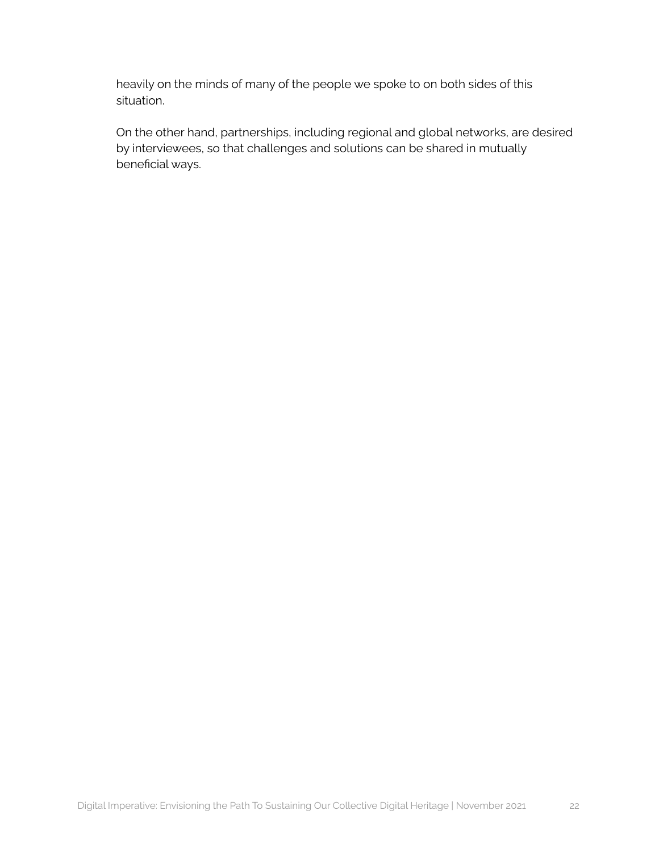heavily on the minds of many of the people we spoke to on both sides of this situation.

On the other hand, partnerships, including regional and global networks, are desired by interviewees, so that challenges and solutions can be shared in mutually beneficial ways.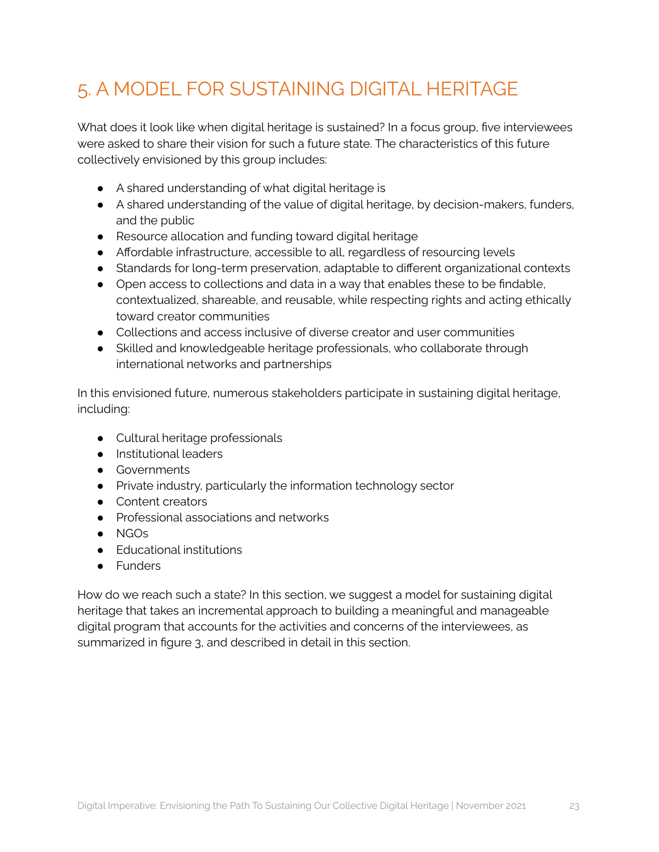# <span id="page-22-0"></span>5. A MODEL FOR SUSTAINING DIGITAL HERITAGE

What does it look like when digital heritage is sustained? In a focus group, five interviewees were asked to share their vision for such a future state. The characteristics of this future collectively envisioned by this group includes:

- A shared understanding of what digital heritage is
- A shared understanding of the value of digital heritage, by decision-makers, funders, and the public
- Resource allocation and funding toward digital heritage
- Affordable infrastructure, accessible to all, regardless of resourcing levels
- Standards for long-term preservation, adaptable to different organizational contexts
- Open access to collections and data in a way that enables these to be findable, contextualized, shareable, and reusable, while respecting rights and acting ethically toward creator communities
- Collections and access inclusive of diverse creator and user communities
- Skilled and knowledgeable heritage professionals, who collaborate through international networks and partnerships

In this envisioned future, numerous stakeholders participate in sustaining digital heritage, including:

- Cultural heritage professionals
- Institutional leaders
- Governments
- Private industry, particularly the information technology sector
- Content creators
- Professional associations and networks
- NGOs
- Educational institutions
- Funders

How do we reach such a state? In this section, we suggest a model for sustaining digital heritage that takes an incremental approach to building a meaningful and manageable digital program that accounts for the activities and concerns of the interviewees, as summarized in figure 3, and described in detail in this section.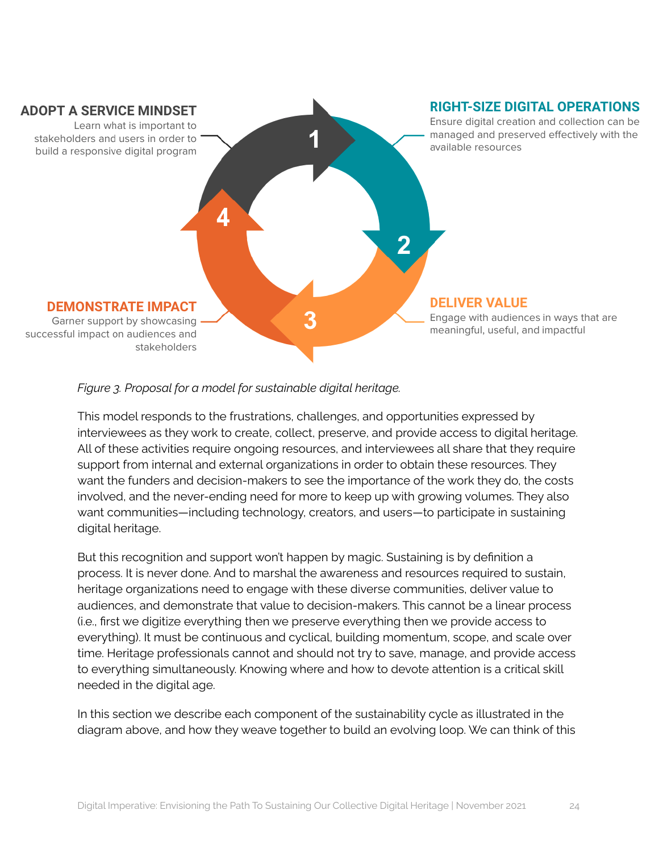

#### *Figure 3. Proposal for a model for sustainable digital heritage.*

This model responds to the frustrations, challenges, and opportunities expressed by interviewees as they work to create, collect, preserve, and provide access to digital heritage. All of these activities require ongoing resources, and interviewees all share that they require support from internal and external organizations in order to obtain these resources. They want the funders and decision-makers to see the importance of the work they do, the costs involved, and the never-ending need for more to keep up with growing volumes. They also want communities—including technology, creators, and users—to participate in sustaining digital heritage.

But this recognition and support won't happen by magic. Sustaining is by definition a process. It is never done. And to marshal the awareness and resources required to sustain, heritage organizations need to engage with these diverse communities, deliver value to audiences, and demonstrate that value to decision-makers. This cannot be a linear process (i.e., first we digitize everything then we preserve everything then we provide access to everything). It must be continuous and cyclical, building momentum, scope, and scale over time. Heritage professionals cannot and should not try to save, manage, and provide access to everything simultaneously. Knowing where and how to devote attention is a critical skill needed in the digital age.

In this section we describe each component of the sustainability cycle as illustrated in the diagram above, and how they weave together to build an evolving loop. We can think of this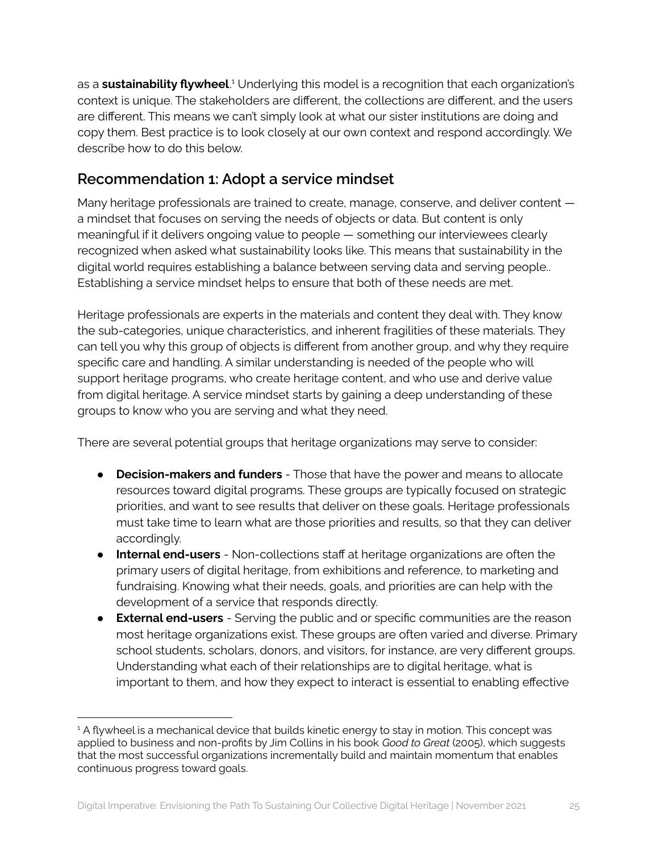as a **sustainability flywheel**. <sup>1</sup> Underlying this model is a recognition that each organization's context is unique. The stakeholders are different, the collections are different, and the users are different. This means we can't simply look at what our sister institutions are doing and copy them. Best practice is to look closely at our own context and respond accordingly. We describe how to do this below.

### <span id="page-24-0"></span>**Recommendation 1: Adopt a service mindset**

Many heritage professionals are trained to create, manage, conserve, and deliver content a mindset that focuses on serving the needs of objects or data. But content is only meaningful if it delivers ongoing value to people — something our interviewees clearly recognized when asked what sustainability looks like. This means that sustainability in the digital world requires establishing a balance between serving data and serving people.. Establishing a service mindset helps to ensure that both of these needs are met.

Heritage professionals are experts in the materials and content they deal with. They know the sub-categories, unique characteristics, and inherent fragilities of these materials. They can tell you why this group of objects is different from another group, and why they require specific care and handling. A similar understanding is needed of the people who will support heritage programs, who create heritage content, and who use and derive value from digital heritage. A service mindset starts by gaining a deep understanding of these groups to know who you are serving and what they need.

There are several potential groups that heritage organizations may serve to consider:

- **Decision-makers and funders** Those that have the power and means to allocate resources toward digital programs. These groups are typically focused on strategic priorities, and want to see results that deliver on these goals. Heritage professionals must take time to learn what are those priorities and results, so that they can deliver accordingly.
- **Internal end-users** Non-collections staff at heritage organizations are often the primary users of digital heritage, from exhibitions and reference, to marketing and fundraising. Knowing what their needs, goals, and priorities are can help with the development of a service that responds directly.
- **External end-users** Serving the public and or specific communities are the reason most heritage organizations exist. These groups are often varied and diverse. Primary school students, scholars, donors, and visitors, for instance, are very different groups. Understanding what each of their relationships are to digital heritage, what is important to them, and how they expect to interact is essential to enabling effective

 $<sup>1</sup>$  A flywheel is a mechanical device that builds kinetic energy to stay in motion. This concept was</sup> applied to business and non-profits by Jim Collins in his book *Good to Great* (2005), which suggests that the most successful organizations incrementally build and maintain momentum that enables continuous progress toward goals.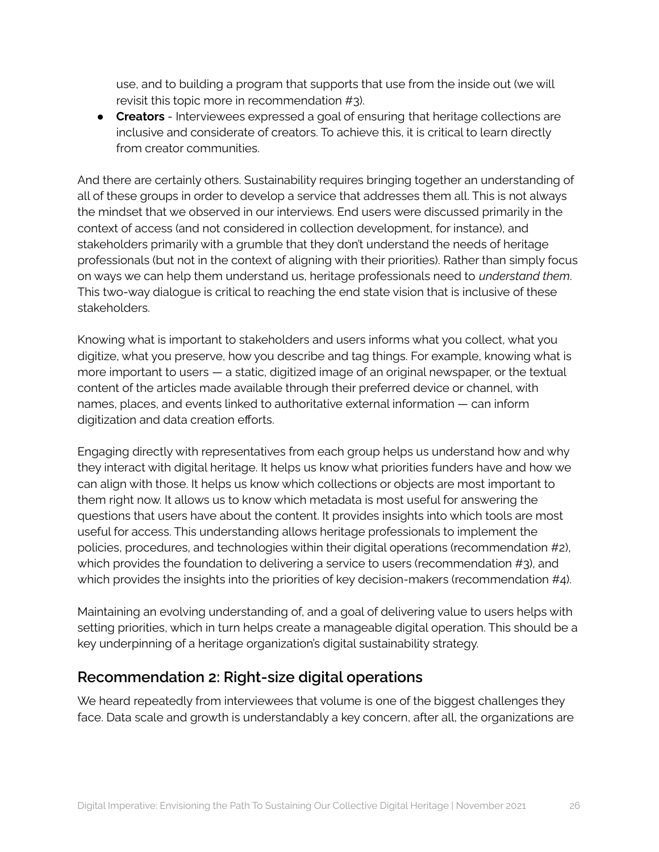use, and to building a program that supports that use from the inside out (we will revisit this topic more in recommendation #3).

● **Creators** - Interviewees expressed a goal of ensuring that heritage collections are inclusive and considerate of creators. To achieve this, it is critical to learn directly from creator communities.

And there are certainly others. Sustainability requires bringing together an understanding of all of these groups in order to develop a service that addresses them all. This is not always the mindset that we observed in our interviews. End users were discussed primarily in the context of access (and not considered in collection development, for instance), and stakeholders primarily with a grumble that they don't understand the needs of heritage professionals (but not in the context of aligning with their priorities). Rather than simply focus on ways we can help them understand us, heritage professionals need to *understand them*. This two-way dialogue is critical to reaching the end state vision that is inclusive of these stakeholders.

Knowing what is important to stakeholders and users informs what you collect, what you digitize, what you preserve, how you describe and tag things. For example, knowing what is more important to users — a static, digitized image of an original newspaper, or the textual content of the articles made available through their preferred device or channel, with names, places, and events linked to authoritative external information — can inform digitization and data creation efforts.

Engaging directly with representatives from each group helps us understand how and why they interact with digital heritage. It helps us know what priorities funders have and how we can align with those. It helps us know which collections or objects are most important to them right now. It allows us to know which metadata is most useful for answering the questions that users have about the content. It provides insights into which tools are most useful for access. This understanding allows heritage professionals to implement the policies, procedures, and technologies within their digital operations (recommendation #2), which provides the foundation to delivering a service to users (recommendation #3), and which provides the insights into the priorities of key decision-makers (recommendation #4).

Maintaining an evolving understanding of, and a goal of delivering value to users helps with setting priorities, which in turn helps create a manageable digital operation. This should be a key underpinning of a heritage organization's digital sustainability strategy.

### <span id="page-25-0"></span>**Recommendation 2: Right-size digital operations**

We heard repeatedly from interviewees that volume is one of the biggest challenges they face. Data scale and growth is understandably a key concern, after all, the organizations are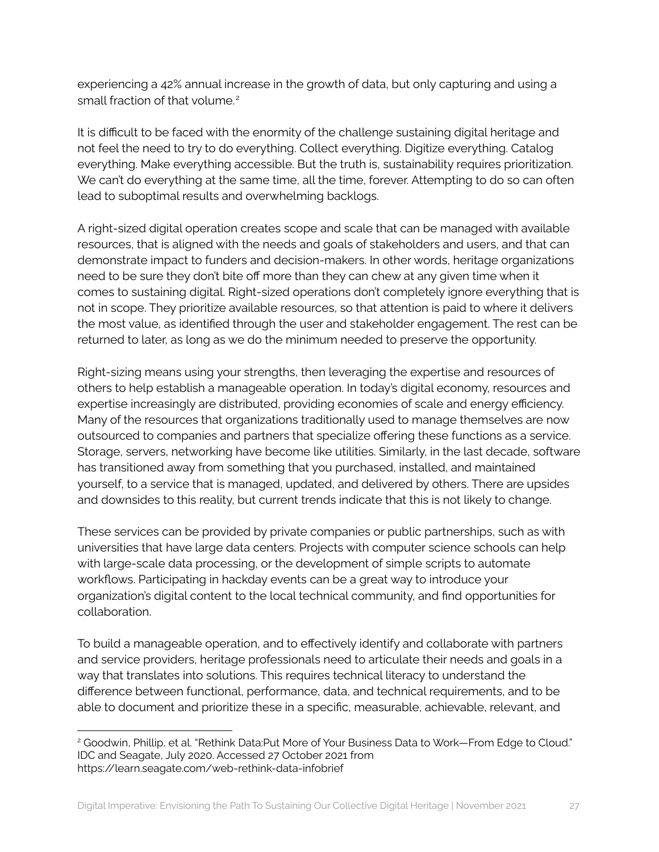experiencing a 42% annual increase in the growth of data, but only capturing and using a small fraction of that volume.<sup>2</sup>

It is difficult to be faced with the enormity of the challenge sustaining digital heritage and not feel the need to try to do everything. Collect everything. Digitize everything. Catalog everything. Make everything accessible. But the truth is, sustainability requires prioritization. We can't do everything at the same time, all the time, forever. Attempting to do so can often lead to suboptimal results and overwhelming backlogs.

A right-sized digital operation creates scope and scale that can be managed with available resources, that is aligned with the needs and goals of stakeholders and users, and that can demonstrate impact to funders and decision-makers. In other words, heritage organizations need to be sure they don't bite off more than they can chew at any given time when it comes to sustaining digital. Right-sized operations don't completely ignore everything that is not in scope. They prioritize available resources, so that attention is paid to where it delivers the most value, as identified through the user and stakeholder engagement. The rest can be returned to later, as long as we do the minimum needed to preserve the opportunity.

Right-sizing means using your strengths, then leveraging the expertise and resources of others to help establish a manageable operation. In today's digital economy, resources and expertise increasingly are distributed, providing economies of scale and energy efficiency. Many of the resources that organizations traditionally used to manage themselves are now outsourced to companies and partners that specialize offering these functions as a service. Storage, servers, networking have become like utilities. Similarly, in the last decade, software has transitioned away from something that you purchased, installed, and maintained yourself, to a service that is managed, updated, and delivered by others. There are upsides and downsides to this reality, but current trends indicate that this is not likely to change.

These services can be provided by private companies or public partnerships, such as with universities that have large data centers. Projects with computer science schools can help with large-scale data processing, or the development of simple scripts to automate workflows. Participating in hackday events can be a great way to introduce your organization's digital content to the local technical community, and find opportunities for collaboration.

To build a manageable operation, and to effectively identify and collaborate with partners and service providers, heritage professionals need to articulate their needs and goals in a way that translates into solutions. This requires technical literacy to understand the difference between functional, performance, data, and technical requirements, and to be able to document and prioritize these in a specific, measurable, achievable, relevant, and

<sup>&</sup>lt;sup>2</sup> Goodwin, Phillip, et al. "Rethink Data:Put More of Your Business Data to Work—From Edge to Cloud." IDC and Seagate, July 2020. Accessed 27 October 2021 from https://learn.seagate.com/web-rethink-data-infobrief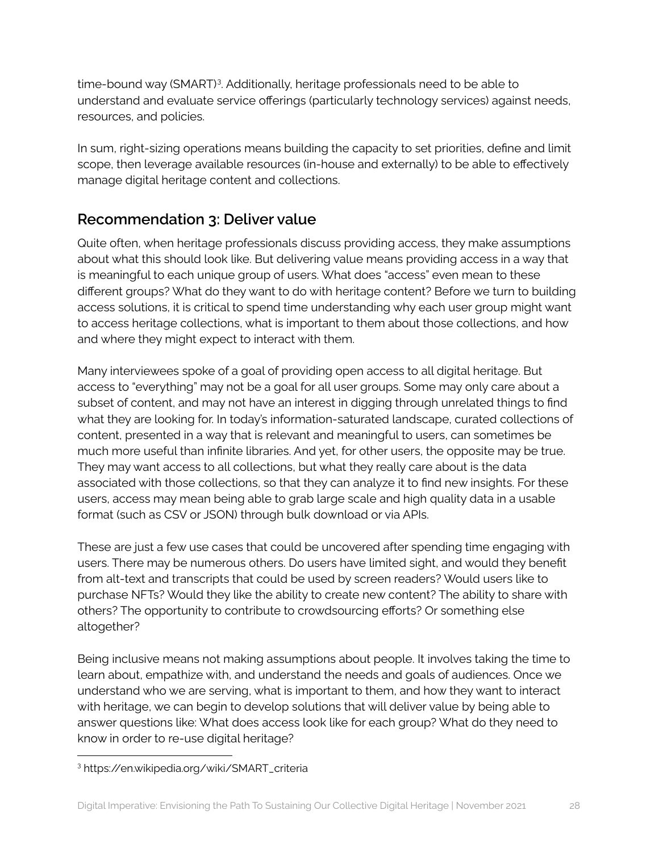time-bound way (SMART)<sup>3</sup>. Additionally, heritage professionals need to be able to understand and evaluate service offerings (particularly technology services) against needs, resources, and policies.

In sum, right-sizing operations means building the capacity to set priorities, define and limit scope, then leverage available resources (in-house and externally) to be able to effectively manage digital heritage content and collections.

## <span id="page-27-0"></span>**Recommendation 3: Deliver value**

Quite often, when heritage professionals discuss providing access, they make assumptions about what this should look like. But delivering value means providing access in a way that is meaningful to each unique group of users. What does "access" even mean to these different groups? What do they want to do with heritage content? Before we turn to building access solutions, it is critical to spend time understanding why each user group might want to access heritage collections, what is important to them about those collections, and how and where they might expect to interact with them.

Many interviewees spoke of a goal of providing open access to all digital heritage. But access to "everything" may not be a goal for all user groups. Some may only care about a subset of content, and may not have an interest in digging through unrelated things to find what they are looking for. In today's information-saturated landscape, curated collections of content, presented in a way that is relevant and meaningful to users, can sometimes be much more useful than infinite libraries. And yet, for other users, the opposite may be true. They may want access to all collections, but what they really care about is the data associated with those collections, so that they can analyze it to find new insights. For these users, access may mean being able to grab large scale and high quality data in a usable format (such as CSV or JSON) through bulk download or via APIs.

These are just a few use cases that could be uncovered after spending time engaging with users. There may be numerous others. Do users have limited sight, and would they benefit from alt-text and transcripts that could be used by screen readers? Would users like to purchase NFTs? Would they like the ability to create new content? The ability to share with others? The opportunity to contribute to crowdsourcing efforts? Or something else altogether?

Being inclusive means not making assumptions about people. It involves taking the time to learn about, empathize with, and understand the needs and goals of audiences. Once we understand who we are serving, what is important to them, and how they want to interact with heritage, we can begin to develop solutions that will deliver value by being able to answer questions like: What does access look like for each group? What do they need to know in order to re-use digital heritage?

<sup>3</sup> https://en.wikipedia.org/wiki/SMART\_criteria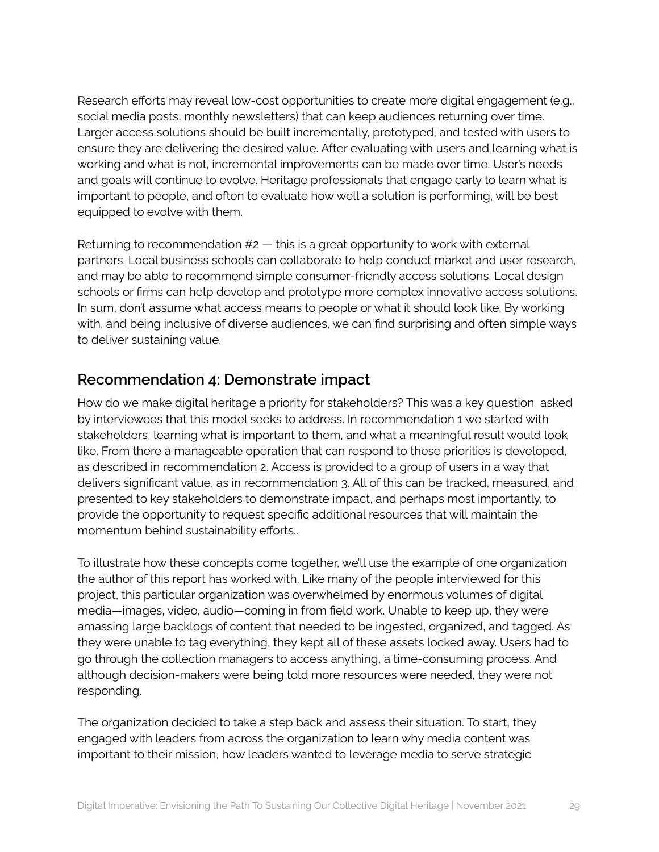Research efforts may reveal low-cost opportunities to create more digital engagement (e.g., social media posts, monthly newsletters) that can keep audiences returning over time. Larger access solutions should be built incrementally, prototyped, and tested with users to ensure they are delivering the desired value. After evaluating with users and learning what is working and what is not, incremental improvements can be made over time. User's needs and goals will continue to evolve. Heritage professionals that engage early to learn what is important to people, and often to evaluate how well a solution is performing, will be best equipped to evolve with them.

Returning to recommendation  $#2$  — this is a great opportunity to work with external partners. Local business schools can collaborate to help conduct market and user research, and may be able to recommend simple consumer-friendly access solutions. Local design schools or firms can help develop and prototype more complex innovative access solutions. In sum, don't assume what access means to people or what it should look like. By working with, and being inclusive of diverse audiences, we can find surprising and often simple ways to deliver sustaining value.

### <span id="page-28-0"></span>**Recommendation 4: Demonstrate impact**

How do we make digital heritage a priority for stakeholders? This was a key question asked by interviewees that this model seeks to address. In recommendation 1 we started with stakeholders, learning what is important to them, and what a meaningful result would look like. From there a manageable operation that can respond to these priorities is developed, as described in recommendation 2. Access is provided to a group of users in a way that delivers significant value, as in recommendation 3. All of this can be tracked, measured, and presented to key stakeholders to demonstrate impact, and perhaps most importantly, to provide the opportunity to request specific additional resources that will maintain the momentum behind sustainability efforts..

To illustrate how these concepts come together, we'll use the example of one organization the author of this report has worked with. Like many of the people interviewed for this project, this particular organization was overwhelmed by enormous volumes of digital media—images, video, audio—coming in from field work. Unable to keep up, they were amassing large backlogs of content that needed to be ingested, organized, and tagged. As they were unable to tag everything, they kept all of these assets locked away. Users had to go through the collection managers to access anything, a time-consuming process. And although decision-makers were being told more resources were needed, they were not responding.

The organization decided to take a step back and assess their situation. To start, they engaged with leaders from across the organization to learn why media content was important to their mission, how leaders wanted to leverage media to serve strategic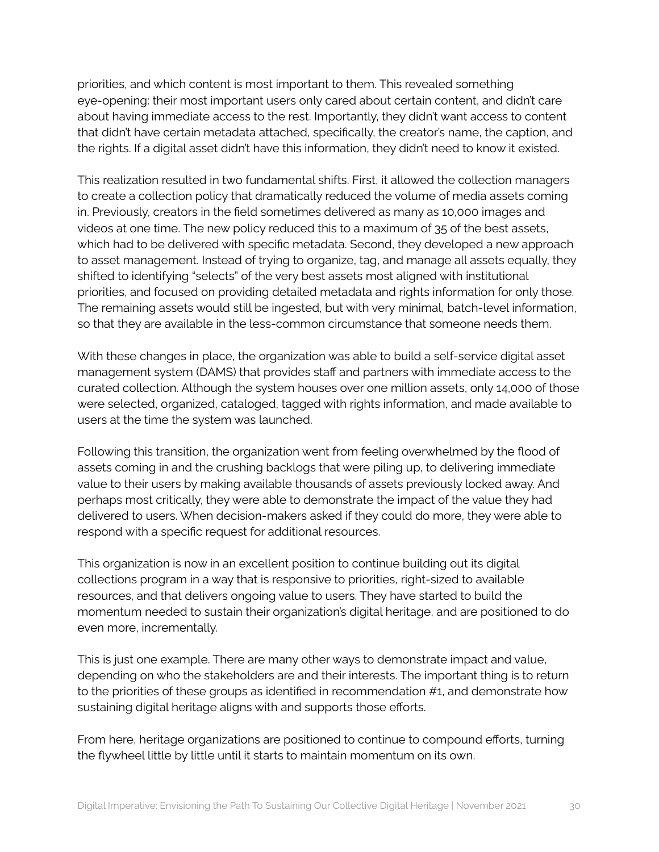priorities, and which content is most important to them. This revealed something eye-opening: their most important users only cared about certain content, and didn't care about having immediate access to the rest. Importantly, they didn't want access to content that didn't have certain metadata attached, specifically, the creator's name, the caption, and the rights. If a digital asset didn't have this information, they didn't need to know it existed.

This realization resulted in two fundamental shifts. First, it allowed the collection managers to create a collection policy that dramatically reduced the volume of media assets coming in. Previously, creators in the field sometimes delivered as many as 10,000 images and videos at one time. The new policy reduced this to a maximum of 35 of the best assets, which had to be delivered with specific metadata. Second, they developed a new approach to asset management. Instead of trying to organize, tag, and manage all assets equally, they shifted to identifying "selects" of the very best assets most aligned with institutional priorities, and focused on providing detailed metadata and rights information for only those. The remaining assets would still be ingested, but with very minimal, batch-level information, so that they are available in the less-common circumstance that someone needs them.

With these changes in place, the organization was able to build a self-service digital asset management system (DAMS) that provides staff and partners with immediate access to the curated collection. Although the system houses over one million assets, only 14,000 of those were selected, organized, cataloged, tagged with rights information, and made available to users at the time the system was launched.

Following this transition, the organization went from feeling overwhelmed by the flood of assets coming in and the crushing backlogs that were piling up, to delivering immediate value to their users by making available thousands of assets previously locked away. And perhaps most critically, they were able to demonstrate the impact of the value they had delivered to users. When decision-makers asked if they could do more, they were able to respond with a specific request for additional resources.

This organization is now in an excellent position to continue building out its digital collections program in a way that is responsive to priorities, right-sized to available resources, and that delivers ongoing value to users. They have started to build the momentum needed to sustain their organization's digital heritage, and are positioned to do even more, incrementally.

This is just one example. There are many other ways to demonstrate impact and value, depending on who the stakeholders are and their interests. The important thing is to return to the priorities of these groups as identified in recommendation #1, and demonstrate how sustaining digital heritage aligns with and supports those efforts.

From here, heritage organizations are positioned to continue to compound efforts, turning the flywheel little by little until it starts to maintain momentum on its own.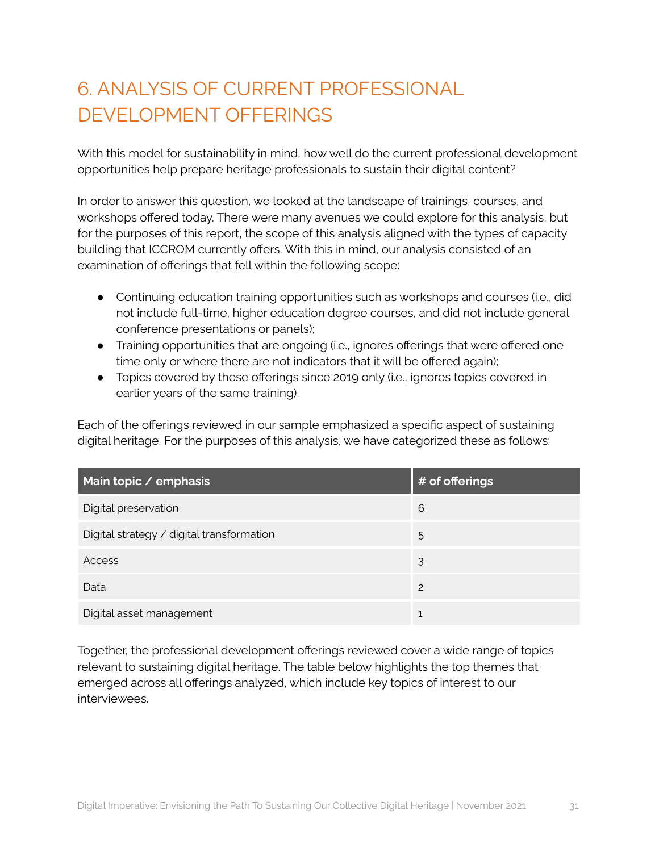## <span id="page-30-0"></span>6. ANALYSIS OF CURRENT PROFESSIONAL DEVELOPMENT OFFERINGS

With this model for sustainability in mind, how well do the current professional development opportunities help prepare heritage professionals to sustain their digital content?

In order to answer this question, we looked at the landscape of trainings, courses, and workshops offered today. There were many avenues we could explore for this analysis, but for the purposes of this report, the scope of this analysis aligned with the types of capacity building that ICCROM currently offers. With this in mind, our analysis consisted of an examination of offerings that fell within the following scope:

- Continuing education training opportunities such as workshops and courses (i.e., did not include full-time, higher education degree courses, and did not include general conference presentations or panels);
- Training opportunities that are ongoing (i.e., ignores offerings that were offered one time only or where there are not indicators that it will be offered again);
- Topics covered by these offerings since 2019 only (i.e., ignores topics covered in earlier years of the same training).

Each of the offerings reviewed in our sample emphasized a specific aspect of sustaining digital heritage. For the purposes of this analysis, we have categorized these as follows:

| Main topic / emphasis                     | # of offerings |
|-------------------------------------------|----------------|
| Digital preservation                      | 6              |
| Digital strategy / digital transformation | 5              |
| Access                                    | 3              |
| Data                                      | 2              |
| Digital asset management                  | 1              |

Together, the professional development offerings reviewed cover a wide range of topics relevant to sustaining digital heritage. The table below highlights the top themes that emerged across all offerings analyzed, which include key topics of interest to our interviewees.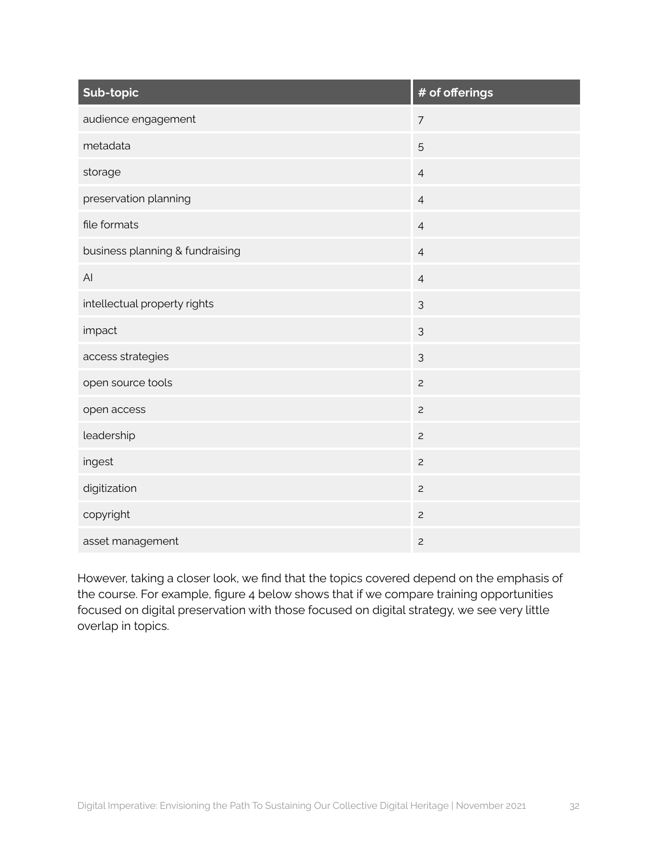| Sub-topic                       | # of offerings |
|---------------------------------|----------------|
| audience engagement             | $\overline{7}$ |
| metadata                        | 5              |
| storage                         | $\overline{4}$ |
| preservation planning           | $\overline{4}$ |
| file formats                    | $\overline{4}$ |
| business planning & fundraising | $\overline{4}$ |
| AI                              | $\sqrt{4}$     |
| intellectual property rights    | $\mathfrak{Z}$ |
| impact                          | 3              |
| access strategies               | $\mathfrak{Z}$ |
| open source tools               | $\overline{c}$ |
| open access                     | $\overline{c}$ |
| leadership                      | $\overline{c}$ |
| ingest                          | $\overline{c}$ |
| digitization                    | $\overline{c}$ |
| copyright                       | $\overline{c}$ |
| asset management                | $\overline{c}$ |

However, taking a closer look, we find that the topics covered depend on the emphasis of the course. For example, figure 4 below shows that if we compare training opportunities focused on digital preservation with those focused on digital strategy, we see very little overlap in topics.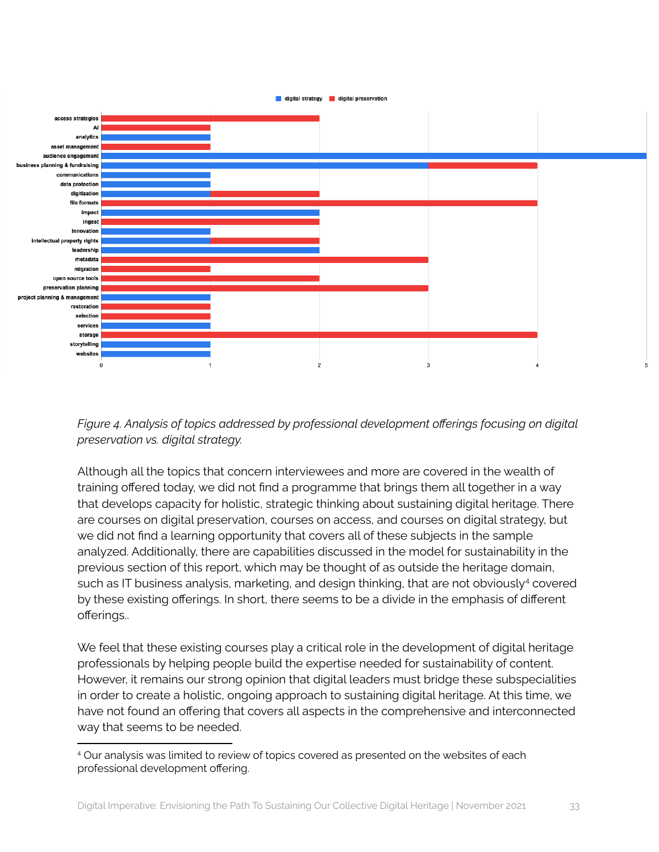

*Figure 4. Analysis of topics addressed by professional development offerings focusing on digital preservation vs. digital strategy.*

Although all the topics that concern interviewees and more are covered in the wealth of training offered today, we did not find a programme that brings them all together in a way that develops capacity for holistic, strategic thinking about sustaining digital heritage. There are courses on digital preservation, courses on access, and courses on digital strategy, but we did not find a learning opportunity that covers all of these subjects in the sample analyzed. Additionally, there are capabilities discussed in the model for sustainability in the previous section of this report, which may be thought of as outside the heritage domain, such as IT business analysis, marketing, and design thinking, that are not obviously <sup>4</sup> covered by these existing offerings. In short, there seems to be a divide in the emphasis of different offerings..

We feel that these existing courses play a critical role in the development of digital heritage professionals by helping people build the expertise needed for sustainability of content. However, it remains our strong opinion that digital leaders must bridge these subspecialities in order to create a holistic, ongoing approach to sustaining digital heritage. At this time, we have not found an offering that covers all aspects in the comprehensive and interconnected way that seems to be needed.

<sup>4</sup> Our analysis was limited to review of topics covered as presented on the websites of each professional development offering.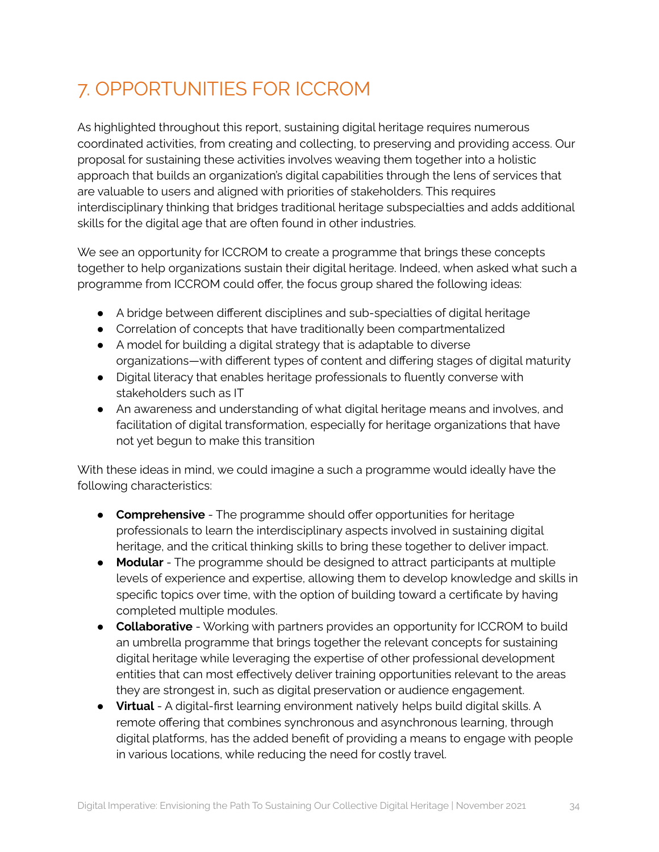## <span id="page-33-0"></span>7. OPPORTUNITIES FOR ICCROM

As highlighted throughout this report, sustaining digital heritage requires numerous coordinated activities, from creating and collecting, to preserving and providing access. Our proposal for sustaining these activities involves weaving them together into a holistic approach that builds an organization's digital capabilities through the lens of services that are valuable to users and aligned with priorities of stakeholders. This requires interdisciplinary thinking that bridges traditional heritage subspecialties and adds additional skills for the digital age that are often found in other industries.

We see an opportunity for ICCROM to create a programme that brings these concepts together to help organizations sustain their digital heritage. Indeed, when asked what such a programme from ICCROM could offer, the focus group shared the following ideas:

- A bridge between different disciplines and sub-specialties of digital heritage
- Correlation of concepts that have traditionally been compartmentalized
- A model for building a digital strategy that is adaptable to diverse organizations—with different types of content and differing stages of digital maturity
- Digital literacy that enables heritage professionals to fluently converse with stakeholders such as IT
- An awareness and understanding of what digital heritage means and involves, and facilitation of digital transformation, especially for heritage organizations that have not yet begun to make this transition

With these ideas in mind, we could imagine a such a programme would ideally have the following characteristics:

- **Comprehensive** The programme should offer opportunities for heritage professionals to learn the interdisciplinary aspects involved in sustaining digital heritage, and the critical thinking skills to bring these together to deliver impact.
- **Modular** The programme should be designed to attract participants at multiple levels of experience and expertise, allowing them to develop knowledge and skills in specific topics over time, with the option of building toward a certificate by having completed multiple modules.
- **Collaborative** Working with partners provides an opportunity for ICCROM to build an umbrella programme that brings together the relevant concepts for sustaining digital heritage while leveraging the expertise of other professional development entities that can most effectively deliver training opportunities relevant to the areas they are strongest in, such as digital preservation or audience engagement.
- **Virtual** A digital-first learning environment natively helps build digital skills. A remote offering that combines synchronous and asynchronous learning, through digital platforms, has the added benefit of providing a means to engage with people in various locations, while reducing the need for costly travel.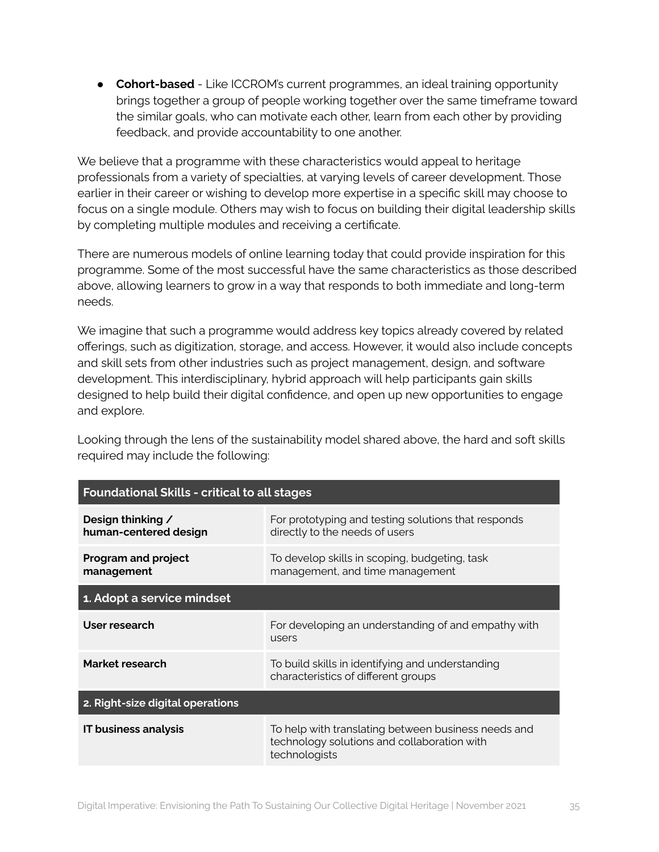● **Cohort-based** - Like ICCROM's current programmes, an ideal training opportunity brings together a group of people working together over the same timeframe toward the similar goals, who can motivate each other, learn from each other by providing feedback, and provide accountability to one another.

We believe that a programme with these characteristics would appeal to heritage professionals from a variety of specialties, at varying levels of career development. Those earlier in their career or wishing to develop more expertise in a specific skill may choose to focus on a single module. Others may wish to focus on building their digital leadership skills by completing multiple modules and receiving a certificate.

There are numerous models of online learning today that could provide inspiration for this programme. Some of the most successful have the same characteristics as those described above, allowing learners to grow in a way that responds to both immediate and long-term needs.

We imagine that such a programme would address key topics already covered by related offerings, such as digitization, storage, and access. However, it would also include concepts and skill sets from other industries such as project management, design, and software development. This interdisciplinary, hybrid approach will help participants gain skills designed to help build their digital confidence, and open up new opportunities to engage and explore.

Looking through the lens of the sustainability model shared above, the hard and soft skills required may include the following:

| <b>Foundational Skills - critical to all stages</b> |                                                                                                                     |  |
|-----------------------------------------------------|---------------------------------------------------------------------------------------------------------------------|--|
| Design thinking /<br>human-centered design          | For prototyping and testing solutions that responds<br>directly to the needs of users                               |  |
| <b>Program and project</b><br>management            | To develop skills in scoping, budgeting, task<br>management, and time management                                    |  |
| 1. Adopt a service mindset                          |                                                                                                                     |  |
| User research                                       | For developing an understanding of and empathy with<br>users                                                        |  |
| Market research                                     | To build skills in identifying and understanding<br>characteristics of different groups                             |  |
| 2. Right-size digital operations                    |                                                                                                                     |  |
| <b>IT business analysis</b>                         | To help with translating between business needs and<br>technology solutions and collaboration with<br>technologists |  |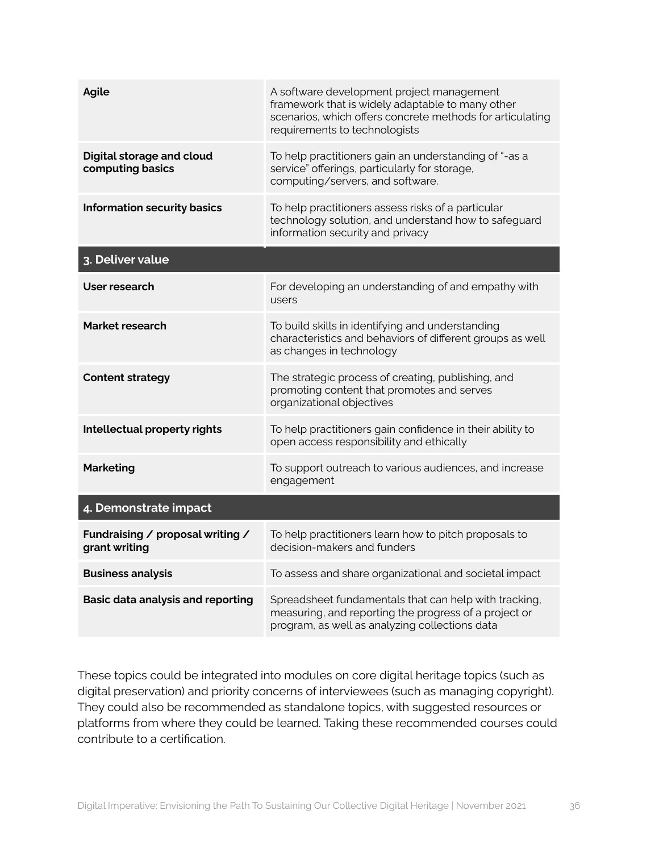| <b>Agile</b>                                         | A software development project management<br>framework that is widely adaptable to many other<br>scenarios, which offers concrete methods for articulating<br>requirements to technologists |
|------------------------------------------------------|---------------------------------------------------------------------------------------------------------------------------------------------------------------------------------------------|
| <b>Digital storage and cloud</b><br>computing basics | To help practitioners gain an understanding of "-as a<br>service" offerings, particularly for storage,<br>computing/servers, and software.                                                  |
| <b>Information security basics</b>                   | To help practitioners assess risks of a particular<br>technology solution, and understand how to safeguard<br>information security and privacy                                              |
| 3. Deliver value                                     |                                                                                                                                                                                             |
| User research                                        | For developing an understanding of and empathy with<br>users                                                                                                                                |
| Market research                                      | To build skills in identifying and understanding<br>characteristics and behaviors of different groups as well<br>as changes in technology                                                   |
| <b>Content strategy</b>                              | The strategic process of creating, publishing, and<br>promoting content that promotes and serves<br>organizational objectives                                                               |
| Intellectual property rights                         | To help practitioners gain confidence in their ability to<br>open access responsibility and ethically                                                                                       |
| <b>Marketing</b>                                     | To support outreach to various audiences, and increase<br>engagement                                                                                                                        |
| 4. Demonstrate impact                                |                                                                                                                                                                                             |
| Fundraising / proposal writing /<br>grant writing    | To help practitioners learn how to pitch proposals to<br>decision-makers and funders                                                                                                        |
| <b>Business analysis</b>                             | To assess and share organizational and societal impact                                                                                                                                      |
| <b>Basic data analysis and reporting</b>             | Spreadsheet fundamentals that can help with tracking,<br>measuring, and reporting the progress of a project or<br>program, as well as analyzing collections data                            |

These topics could be integrated into modules on core digital heritage topics (such as digital preservation) and priority concerns of interviewees (such as managing copyright). They could also be recommended as standalone topics, with suggested resources or platforms from where they could be learned. Taking these recommended courses could contribute to a certification.